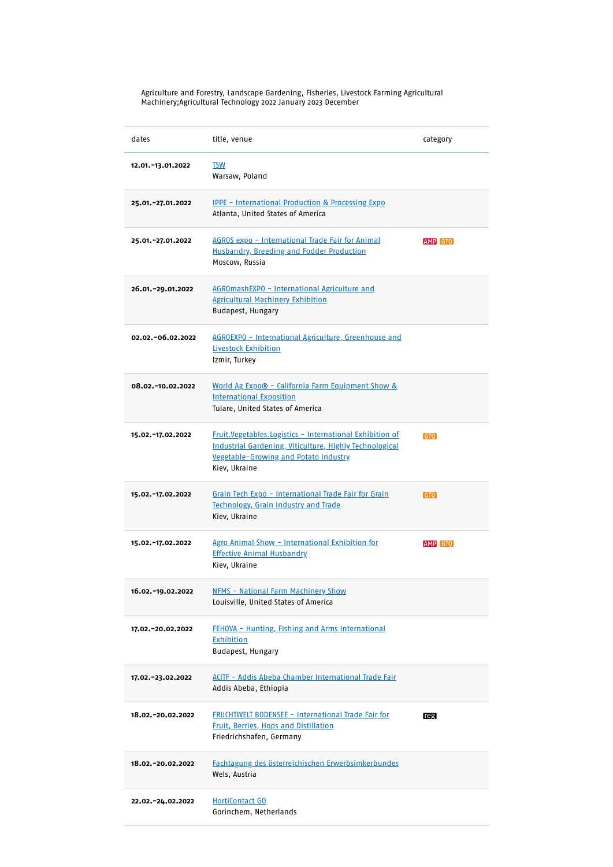Agriculture and Forestry, Landscape Gardening, Fisheries, Livestock Farming Agricultural Machinery;Agricultural Technology 2022 January 2023 December

| dates                | title, venue                                                                                                                                                                  | category |
|----------------------|-------------------------------------------------------------------------------------------------------------------------------------------------------------------------------|----------|
| 12.01. - 13.01.2022  | TSW<br>Warsaw, Poland                                                                                                                                                         |          |
| 25.01. - 27.01.2022  | <b>IPPE - International Production &amp; Processing Expo</b><br>Atlanta, United States of America                                                                             |          |
| 25.01.-27.01.2022    | <u> AGROS expo - International Trade Fair for Animal</u><br><b>Husbandry, Breeding and Fodder Production</b><br>Moscow, Russia                                                | AMP GTO  |
| 26.01.-29.01.2022    | AGROmashEXPO - International Agriculture and<br><b>Agricultural Machinery Exhibition</b><br>Budapest, Hungary                                                                 |          |
| 02.02. - 06.02.2022  | <u> AGROEXPO - International Agriculture, Greenhouse and</u><br><b>Livestock Exhibition</b><br>Izmir, Turkey                                                                  |          |
| 08.02.-10.02.2022    | <u> World Ag Expo® - California Farm Equipment Show &amp;</u><br><b>International Exposition</b><br>Tulare, United States of America                                          |          |
| 15.02.-17.02.2022    | Fruit.Vegetables.Logistics - International Exhibition of<br>Industrial Gardening, Viticulture, Highly Technological<br>Vegetable-Growing and Potato Industry<br>Kiev, Ukraine | GTO      |
| 15.02.-17.02.2022    | Grain Tech Expo - International Trade Fair for Grain<br>Technology, Grain Industry and Trade<br>Kiev, Ukraine                                                                 | GTO      |
| 15.02.-17.02.2022    | Agro Animal Show - International Exhibition for<br><b>Effective Animal Husbandry</b><br>Kiev, Ukraine                                                                         | AMP GTO  |
| 16.02.-19.02.2022    | NFMS - National Farm Machinery Show<br>Louisville, United States of America                                                                                                   |          |
| 17.02.-20.02.2022    | <b>FEHOVA - Hunting, Fishing and Arms International</b><br>Exhibition<br>Budapest, Hungary                                                                                    |          |
| 17.02.-23.02.2022    | ACITF - Addis Abeba Chamber International Trade Fair<br>Addis Abeba, Ethiopia                                                                                                 |          |
| 18.02. - 20.02. 2022 | <b>FRUCHTWELT BODENSEE - International Trade Fair for</b><br><b>Fruit, Berries, Hops and Distillation</b><br>Friedrichshafen, Germany                                         | reg      |
| 18.02.-20.02.2022    | Fachtagung des österreichischen Erwerbsimkerbundes<br>Wels, Austria                                                                                                           |          |
| 22.02.-24.02.2022    | <b>HortiContact GO</b><br>Gorinchem, Netherlands                                                                                                                              |          |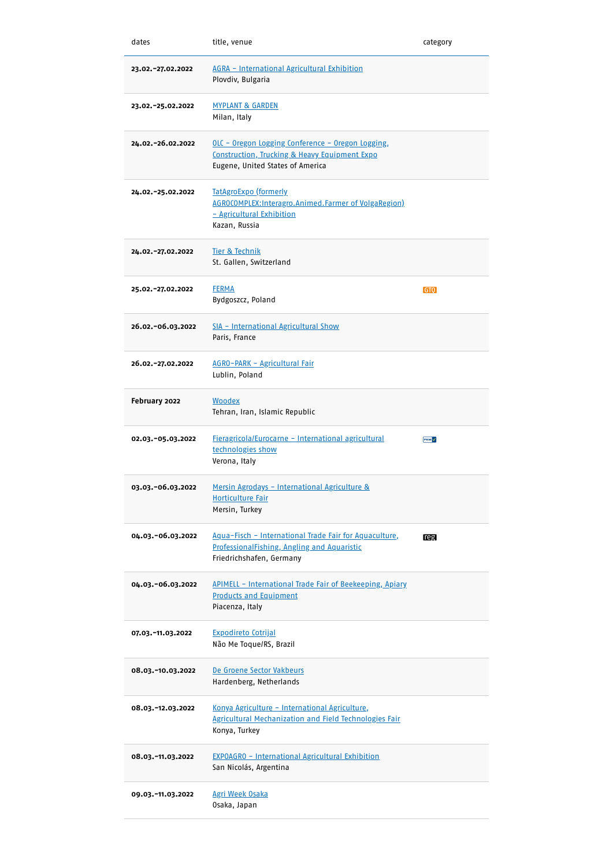| dates                | title, venue                                                                                                                                   | category   |
|----------------------|------------------------------------------------------------------------------------------------------------------------------------------------|------------|
| 23.02.-27.02.2022    | AGRA - International Agricultural Exhibition<br>Plovdiv, Bulgaria                                                                              |            |
| 23.02.-25.02.2022    | <b>MYPLANT &amp; GARDEN</b><br>Milan, Italy                                                                                                    |            |
| 24.02.-26.02.2022    | <u> OLC - Oregon Logging Conference - Oregon Logging,</u><br>Construction, Trucking & Heavy Equipment Expo<br>Eugene, United States of America |            |
| 24.02.-25.02.2022    | TatAgroExpo (formerly<br>AGROCOMPLEX: Interagro. Animed. Farmer of VolgaRegion)<br>- Agricultural Exhibition<br>Kazan, Russia                  |            |
| 24.02.-27.02.2022    | <b>Tier &amp; Technik</b><br>St. Gallen, Switzerland                                                                                           |            |
| 25.02.-27.02.2022    | <b>FERMA</b><br>Bydgoszcz, Poland                                                                                                              | GTO        |
| 26.02.-06.03.2022    | SIA - International Agricultural Show<br>Paris, France                                                                                         |            |
| 26.02.-27.02.2022    | <u> AGRO-PARK - Agricultural Fair</u><br>Lublin, Poland                                                                                        |            |
| February 2022        | <b>Woodex</b><br>Tehran, Iran, Islamic Republic                                                                                                |            |
| 02.03. - 05.03. 2022 | Fieragricola/Eurocarne - International agricultural<br>technologies show<br>Verona, Italy                                                      | <b>FKM</b> |
| 03.03.-06.03.2022    | Mersin Agrodays - International Agriculture &<br><u>Horticulture Fair</u><br>Mersin, Turkey                                                    |            |
| 04.03.-06.03.2022    | Aqua-Fisch - International Trade Fair for Aquaculture,<br>ProfessionalFishing, Angling and Aquaristic<br>Friedrichshafen, Germany              | reg        |
| 04.03.-06.03.2022    | APIMELL - International Trade Fair of Beekeeping, Apiary<br><b>Products and Equipment</b><br>Piacenza, Italy                                   |            |
| 07.03. - 11.03. 2022 | <b>Expodireto Cotrijal</b><br>Não Me Toque/RS, Brazil                                                                                          |            |
| 08.03.-10.03.2022    | De Groene Sector Vakbeurs<br>Hardenberg, Netherlands                                                                                           |            |
| 08.03.-12.03.2022    | Konya Agriculture - International Agriculture,<br><b>Agricultural Mechanization and Field Technologies Fair</b><br>Konya, Turkey               |            |
| 08.03.-11.03.2022    | <b>EXPOAGRO - International Agricultural Exhibition</b><br>San Nicolás, Argentina                                                              |            |
| 09.03.-11.03.2022    | Agri Week Osaka<br>Osaka, Japan                                                                                                                |            |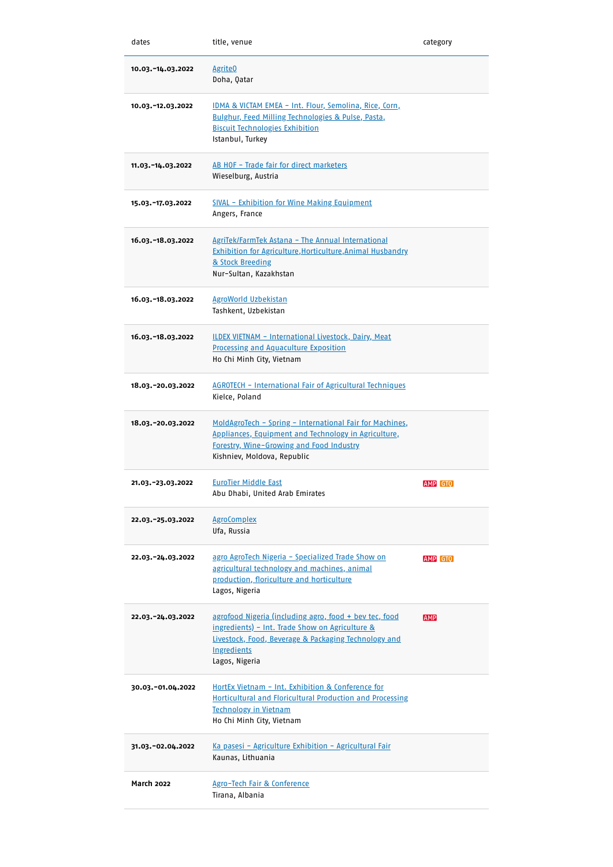| dates                | title, venue                                                                                                                                                                                              | category   |
|----------------------|-----------------------------------------------------------------------------------------------------------------------------------------------------------------------------------------------------------|------------|
| 10.03. - 14.03.2022  | AgriteQ<br>Doha, Qatar                                                                                                                                                                                    |            |
| 10.03.-12.03.2022    | <u> IDMA &amp; VICTAM EMEA – Int. Flour, Semolina, Rice, Corn, </u><br>Bulghur, Feed Milling Technologies & Pulse, Pasta,<br><b>Biscuit Technologies Exhibition</b><br>Istanbul, Turkey                   |            |
| 11.03.-14.03.2022    | AB HOF - Trade fair for direct marketers<br>Wieselburg, Austria                                                                                                                                           |            |
| 15.03.-17.03.2022    | <u>SIVAL - Exhibition for Wine Making Equipment</u><br>Angers, France                                                                                                                                     |            |
| 16.03. - 18.03. 2022 | AgriTek/FarmTek Astana - The Annual International<br><b>Exhibition for Agriculture, Horticulture, Animal Husbandry</b><br>& Stock Breeding<br>Nur-Sultan, Kazakhstan                                      |            |
| 16.03. - 18.03. 2022 | <b>AgroWorld Uzbekistan</b><br>Tashkent, Uzbekistan                                                                                                                                                       |            |
| 16.03. - 18.03. 2022 | ILDEX VIETNAM - International Livestock, Dairy, Meat<br><b>Processing and Aquaculture Exposition</b><br>Ho Chi Minh City, Vietnam                                                                         |            |
| 18.03.-20.03.2022    | <b>AGROTECH - International Fair of Agricultural Techniques</b><br>Kielce, Poland                                                                                                                         |            |
| 18.03.-20.03.2022    | MoldAgroTech - Spring - International Fair for Machines,<br>Appliances, Equipment and Technology in Agriculture,<br>Forestry, Wine-Growing and Food Industry<br>Kishniev, Moldova, Republic               |            |
| 21.03.-23.03.2022    | <b>EuroTier Middle East</b><br>Abu Dhabi, United Arab Emirates                                                                                                                                            | AMP GTQ    |
| 22.03.-25.03.2022    | <b>AgroComplex</b><br>Ufa, Russia                                                                                                                                                                         |            |
| 22,03,-24,03,2022    | agro AgroTech Nigeria - Specialized Trade Show on<br>agricultural technology and machines, animal<br>production, floriculture and horticulture<br>Lagos, Nigeria                                          | AMP GTO    |
| 22.03.-24.03.2022    | agrofood Nigeria (including agro, food + bey tec, food<br>ingredients) - Int. Trade Show on Agriculture &<br>Livestock, Food, Beverage & Packaging Technology and<br><b>Ingredients</b><br>Lagos, Nigeria | <b>AMP</b> |
| 30.03. - 01.04.2022  | <u> HortEx Vietnam - Int. Exhibition &amp; Conference for</u><br><b>Horticultural and Floricultural Production and Processing</b><br><b>Technology in Vietnam</b><br>Ho Chi Minh City, Vietnam            |            |
| 31.03. - 02.04.2022  | Ka pasesi - Agriculture Exhibition - Agricultural Fair<br>Kaunas, Lithuania                                                                                                                               |            |
| <b>March 2022</b>    | <u>Agro-Tech Fair &amp; Conference</u><br>Tirana, Albania                                                                                                                                                 |            |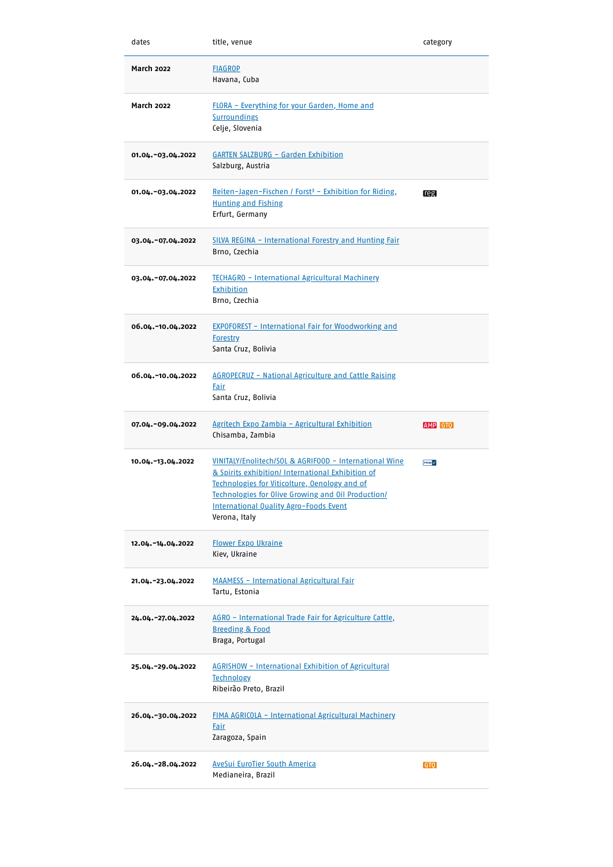| dates               | title, venue                                                                                                                                                                                                                                                                         | category   |
|---------------------|--------------------------------------------------------------------------------------------------------------------------------------------------------------------------------------------------------------------------------------------------------------------------------------|------------|
| <b>March 2022</b>   | <b>FIAGROP</b><br>Havana, Cuba                                                                                                                                                                                                                                                       |            |
| <b>March 2022</b>   | FLORA - Everything for your Garden, Home and<br><b>Surroundings</b><br>Celje, Slovenia                                                                                                                                                                                               |            |
| 01.04. - 03.04.2022 | <b>GARTEN SALZBURG - Garden Exhibition</b><br>Salzburg, Austria                                                                                                                                                                                                                      |            |
| 01.04.-03.04.2022   | Reiten-Jagen-Fischen / Forst <sup>3</sup> - Exhibition for Riding,<br><b>Hunting and Fishing</b><br>Erfurt, Germany                                                                                                                                                                  | reg        |
| 03.04.-07.04.2022   | SILVA REGINA - International Forestry and Hunting Fair<br>Brno, Czechia                                                                                                                                                                                                              |            |
| 03.04.-07.04.2022   | TECHAGRO - International Agricultural Machinery<br>Exhibition<br>Brno, Czechia                                                                                                                                                                                                       |            |
| 06.04.-10.04.2022   | <b>EXPOFOREST - International Fair for Woodworking and</b><br><b>Forestry</b><br>Santa Cruz, Bolivia                                                                                                                                                                                 |            |
| 06.04.-10.04.2022   | <b>AGROPECRUZ - National Agriculture and Cattle Raising</b><br>Fair<br>Santa Cruz, Bolivia                                                                                                                                                                                           |            |
|                     |                                                                                                                                                                                                                                                                                      |            |
| 07.04.-09.04.2022   | Agritech Expo Zambia - Agricultural Exhibition<br>Chisamba, Zambia                                                                                                                                                                                                                   | AMP GTQ    |
| 10.04.-13.04.2022   | VINITALY/Enolitech/SOL & AGRIFOOD - International Wine<br>& Spirits exhibition/ International Exhibition of<br>Technologies for Viticolture, Oenology and of<br>Technologies for Olive Growing and Oil Production/<br><b>International Quality Agro-Foods Event</b><br>Verona, Italy | <b>FKM</b> |
| 12.04.-14.04.2022   | <b>Flower Expo Ukraine</b><br>Kiev, Ukraine                                                                                                                                                                                                                                          |            |
| 21.04.-23.04.2022   | <b>MAAMESS - International Agricultural Fair</b><br>Tartu, Estonia                                                                                                                                                                                                                   |            |
| 24.04.-27.04.2022   | AGRO - International Trade Fair for Agriculture Cattle,<br><b>Breeding &amp; Food</b><br>Braga, Portugal                                                                                                                                                                             |            |
| 25.04.-29.04.2022   | <b>AGRISHOW - International Exhibition of Agricultural</b><br>Technology<br>Ribeirão Preto, Brazil                                                                                                                                                                                   |            |
| 26.04.-30.04.2022   | FIMA AGRICOLA - International Agricultural Machinery<br><b>Fair</b><br>Zaragoza, Spain                                                                                                                                                                                               |            |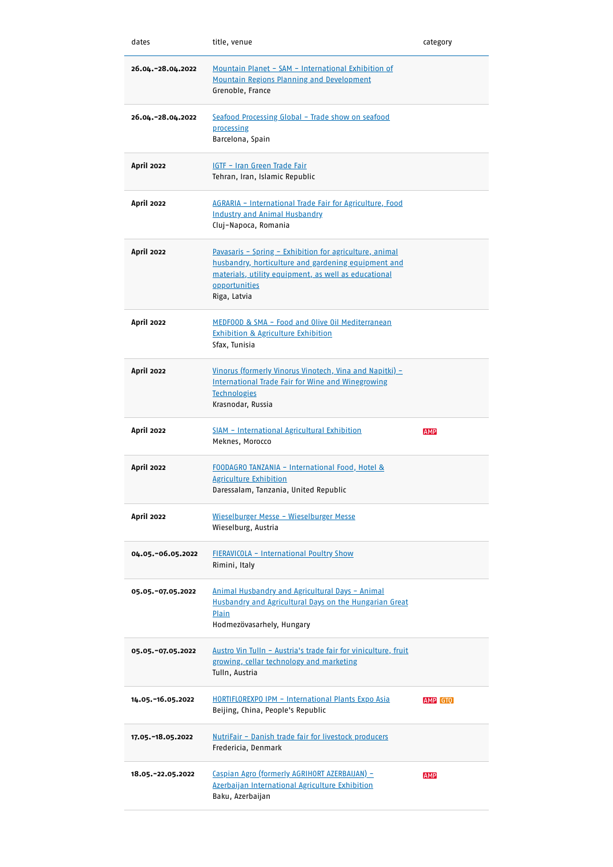| dates               | title, venue                                                                                                                                                                                                   | category   |
|---------------------|----------------------------------------------------------------------------------------------------------------------------------------------------------------------------------------------------------------|------------|
| 26.04.-28.04.2022   | Mountain Planet - SAM - International Exhibition of<br>Mountain Regions Planning and Development<br>Grenoble, France                                                                                           |            |
| 26.04.-28.04.2022   | Seafood Processing Global - Trade show on seafood<br>processing<br>Barcelona, Spain                                                                                                                            |            |
| <b>April 2022</b>   | <b>IGTF - Iran Green Trade Fair</b><br>Tehran, Iran, Islamic Republic                                                                                                                                          |            |
| <b>April 2022</b>   | AGRARIA - International Trade Fair for Agriculture, Food<br><b>Industry and Animal Husbandry</b><br>Cluj-Napoca, Romania                                                                                       |            |
| <b>April 2022</b>   | Pavasaris - Spring - Exhibition for agriculture, animal<br>husbandry, horticulture and gardening equipment and<br>materials, utility equipment, as well as educational<br><u>opportunities</u><br>Riga, Latvia |            |
| April 2022          | MEDFOOD & SMA - Food and Olive Oil Mediterranean<br><b>Exhibition &amp; Agriculture Exhibition</b><br>Sfax, Tunisia                                                                                            |            |
| <b>April 2022</b>   | <u> Vinorus (formerly Vinorus Vinotech, Vina and Napitki) –</u><br><b>International Trade Fair for Wine and Winegrowing</b><br><b>Technologies</b><br>Krasnodar, Russia                                        |            |
| <b>April 2022</b>   | SIAM - International Agricultural Exhibition<br>Meknes, Morocco                                                                                                                                                | <b>AMP</b> |
|                     |                                                                                                                                                                                                                |            |
| <b>April 2022</b>   | <b>FOODAGRO TANZANIA - International Food, Hotel &amp;</b><br><b>Agriculture Exhibition</b><br>Daressalam, Tanzania, United Republic                                                                           |            |
| April 2022          | Wieselburger Messe - Wieselburger Messe<br>Wieselburg, Austria                                                                                                                                                 |            |
| 04.05.-06.05.2022   | <b>FIERAVICOLA - International Poultry Show</b><br>Rimini, Italy                                                                                                                                               |            |
| 05.05. - 07.05.2022 | Animal Husbandry and Agricultural Days - Animal<br><b>Husbandry and Agricultural Days on the Hungarian Great</b><br><b>Plain</b><br>Hodmezövasarhely, Hungary                                                  |            |
| 05.05.-07.05.2022   | <u> Austro Vin Tulln - Austria's trade fair for viniculture, fruit</u><br>growing, cellar technology and marketing<br>Tulln, Austria                                                                           |            |
| 14.05.-16.05.2022   | <b>HORTIFLOREXPO IPM - International Plants Expo Asia</b><br>Beijing, China, People's Republic                                                                                                                 | AMP GTO    |
| 17.05. - 18.05.2022 | <u>NutriFair - Danish trade fair for livestock producers</u><br>Fredericia, Denmark                                                                                                                            |            |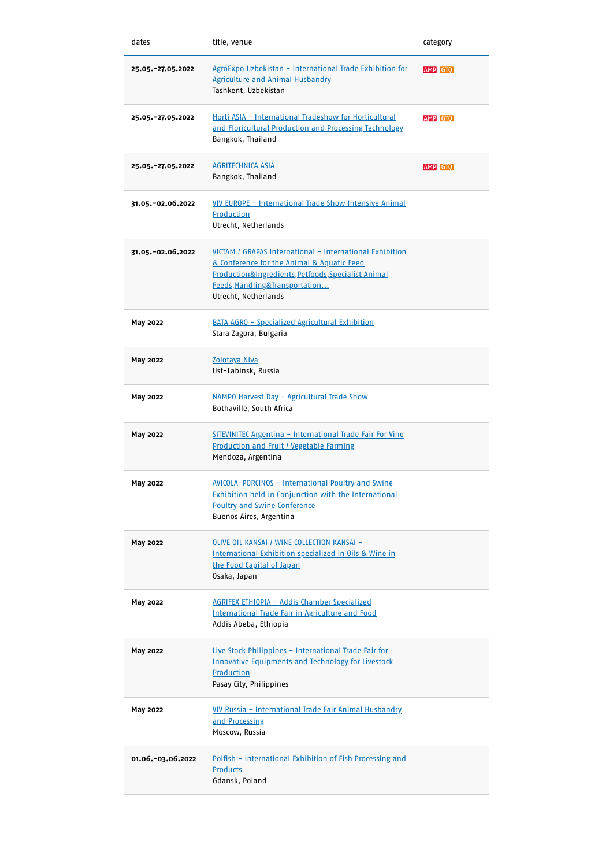| dates               | title, venue                                                                                                                                                                                                            | category |
|---------------------|-------------------------------------------------------------------------------------------------------------------------------------------------------------------------------------------------------------------------|----------|
| 25.05.-27.05.2022   | AgroExpo Uzbekistan - International Trade Exhibition for<br><b>Agriculture and Animal Husbandry</b><br>Tashkent, Uzbekistan                                                                                             | AMP GTO  |
| 25.05.-27.05.2022   | Horti ASIA - International Tradeshow for Horticultural<br>and Floricultural Production and Processing Technology<br>Bangkok, Thailand                                                                                   | AMP GTO  |
| 25.05.-27.05.2022   | <b>AGRITECHNICA ASIA</b><br>Bangkok, Thailand                                                                                                                                                                           | AMP GTO  |
| 31.05. - 02.06.2022 | VIV EUROPE - International Trade Show Intensive Animal<br>Production<br>Utrecht, Netherlands                                                                                                                            |          |
| 31.05. - 02.06.2022 | VICTAM / GRAPAS International - International Exhibition<br>& Conference for the Animal & Aquatic Feed<br>Production&Ingredients, Petfoods, Specialist Animal<br>Feeds, Handling&Transportation<br>Utrecht, Netherlands |          |
| May 2022            | <b>BATA AGRO - Specialized Agricultural Exhibition</b><br>Stara Zagora, Bulgaria                                                                                                                                        |          |
| May 2022            | Zolotaya Niva<br>Ust-Labinsk, Russia                                                                                                                                                                                    |          |
| May 2022            | NAMPO Harvest Day - Agricultural Trade Show<br>Bothaville, South Africa                                                                                                                                                 |          |
| <b>May 2022</b>     | <b>SITEVINITEC Argentina - International Trade Fair For Vine</b><br><b>Production and Fruit / Vegetable Farming</b><br>Mendoza, Argentina                                                                               |          |
| May 2022            | AVICOLA-PORCINOS - International Poultry and Swine<br><b>Exhibition held in Conjunction with the International</b><br><b>Poultry and Swine Conference</b><br>Buenos Aires, Argentina                                    |          |
| <b>May 2022</b>     | OLIVE OIL KANSAI / WINE COLLECTION KANSAI -<br>International Exhibition specialized in Oils & Wine in<br>the Food Capital of Japan<br>Osaka, Japan                                                                      |          |
| May 2022            | <u> AGRIFEX ETHIOPIA - Addis Chamber Specialized</u><br><b>International Trade Fair in Agriculture and Food</b><br>Addis Abeba, Ethiopia                                                                                |          |
| <b>May 2022</b>     | Live Stock Philippines - International Trade Fair for<br><b>Innovative Equipments and Technology for Livestock</b><br><b>Production</b><br>Pasay City, Philippines                                                      |          |
| May 2022            | <u>VIV Russia - International Trade Fair Animal Husbandry</u><br>and Processing<br>Moscow, Russia                                                                                                                       |          |
| 01.06.-03.06.2022   | <u> Polfish - International Exhibition of Fish Processing and</u><br><b>Products</b><br>Gdansk, Poland                                                                                                                  |          |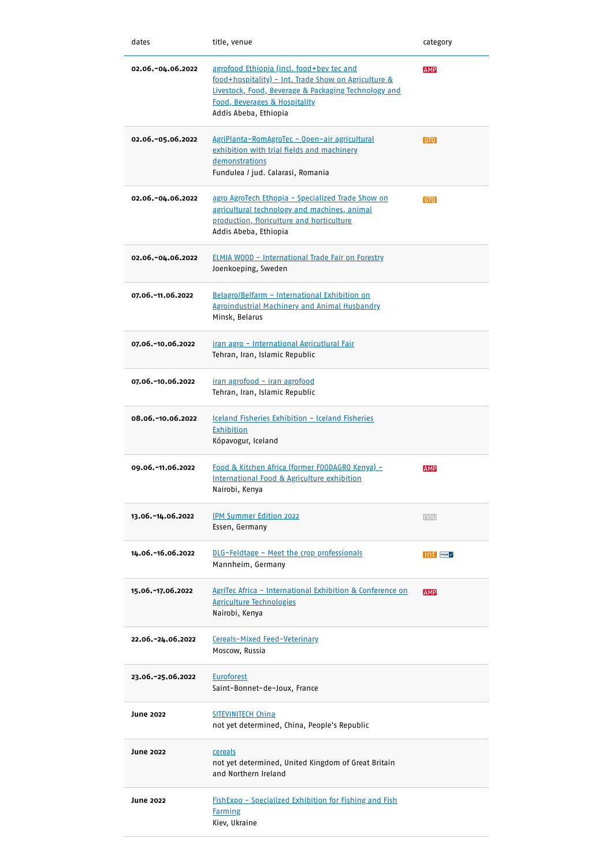| dates             | title, venue                                                                                                                                                                                                        | category                        |
|-------------------|---------------------------------------------------------------------------------------------------------------------------------------------------------------------------------------------------------------------|---------------------------------|
| 02.06.-04.06.2022 | agrofood Ethiopia (incl. food+bey tec and<br>food+hospitality) - Int. Trade Show on Agriculture &<br>Livestock, Food, Beverage & Packaging Technology and<br>Food, Beverages & Hospitality<br>Addis Abeba, Ethiopia | <b>AMP</b>                      |
| 02.06.-05.06.2022 | AgriPlanta-RomAgroTec - Open-air agricultural<br>exhibition with trial fields and machinery<br>demonstrations<br>Fundulea / jud. Calarasi, Romania                                                                  | GTO                             |
| 02.06.-04.06.2022 | agro AgroTech Ethopia - Specialized Trade Show on<br>agricultural technology and machines, animal<br>production, floriculture and horticulture<br>Addis Abeba, Ethiopia                                             | GTO                             |
| 02.06.-04.06.2022 | <b>ELMIA WOOD - International Trade Fair on Forestry</b><br>Joenkoeping, Sweden                                                                                                                                     |                                 |
| 07.06.-11.06.2022 | Belagro/Belfarm - International Exhibition on<br><b>Agroindustrial Machinery and Animal Husbandry</b><br>Minsk, Belarus                                                                                             |                                 |
| 07.06.-10.06.2022 | iran agro - International Agricutlural Fair<br>Tehran, Iran, Islamic Republic                                                                                                                                       |                                 |
| 07.06.-10.06.2022 | iran agrofood - iran agrofood<br>Tehran, Iran, Islamic Republic                                                                                                                                                     |                                 |
| 08.06.-10.06.2022 | Iceland Fisheries Exhibition - Iceland Fisheries<br>Exhibition<br>Kópavogur, Iceland                                                                                                                                |                                 |
| 09.06.-11.06.2022 | Food & Kitchen Africa (former FOODAGRO Kenya) -<br>International Food & Agriculture exhibition<br>Nairobi, Kenya                                                                                                    | <b>AMP</b>                      |
| 13.06.-14.06.2022 | <b>IPM Summer Edition 2022</b><br>Essen, Germany                                                                                                                                                                    | neu                             |
| 14.06.-16.06.2022 | DLG-Feldtage - Meet the crop professionals<br>Mannheim, Germany                                                                                                                                                     | $\mathsf{Int}$ FKM $\checkmark$ |
| 15.06.-17.06.2022 | AgriTec Africa - International Exhibition & Conference on<br><u>Agriculture Technologies</u><br>Nairobi, Kenya                                                                                                      | <b>AMP</b>                      |
| 22.06.-24.06.2022 | <u>Cereals-Mixed Feed-Veterinary</u><br>Moscow, Russia                                                                                                                                                              |                                 |
| 23.06.-25.06.2022 | <b>Euroforest</b><br>Saint-Bonnet-de-Joux, France                                                                                                                                                                   |                                 |
| <b>June 2022</b>  | <b>SITEVINITECH China</b><br>not yet determined, China, People's Republic                                                                                                                                           |                                 |
| <b>June 2022</b>  | cereals<br>not yet determined, United Kingdom of Great Britain<br>and Northern Ireland                                                                                                                              |                                 |
| <b>June 2022</b>  | FishExpo - Specialized Exhibition for Fishing and Fish<br><b>Farming</b><br>Kiev, Ukraine                                                                                                                           |                                 |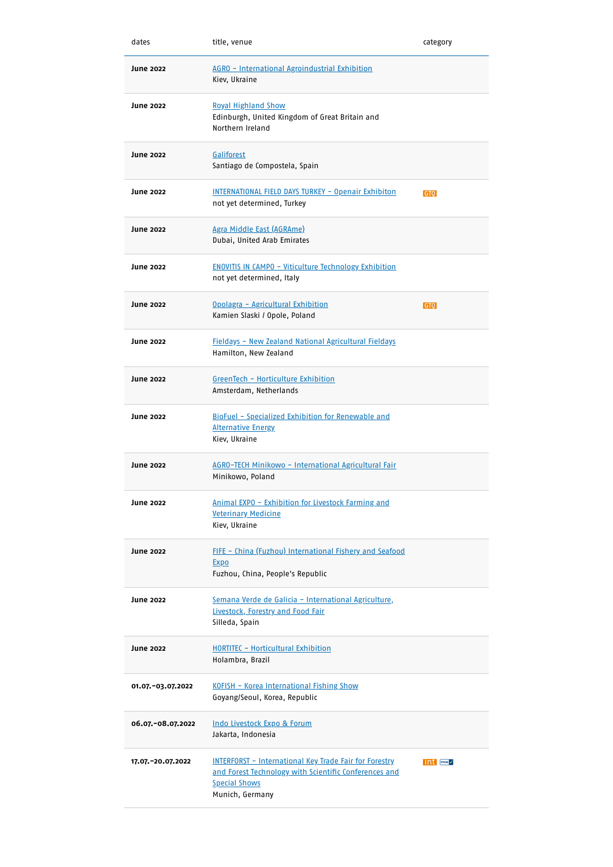| dates               | title, venue                                                                                                                                                      | category        |
|---------------------|-------------------------------------------------------------------------------------------------------------------------------------------------------------------|-----------------|
| <b>June 2022</b>    | AGRO - International Agroindustrial Exhibition<br>Kiev, Ukraine                                                                                                   |                 |
| <b>June 2022</b>    | <b>Royal Highland Show</b><br>Edinburgh, United Kingdom of Great Britain and<br>Northern Ireland                                                                  |                 |
| <b>June 2022</b>    | Galiforest<br>Santiago de Compostela, Spain                                                                                                                       |                 |
| <b>June 2022</b>    | <b>INTERNATIONAL FIELD DAYS TURKEY - Openair Exhibiton</b><br>not yet determined, Turkey                                                                          | GTO             |
| <b>June 2022</b>    | Agra Middle East (AGRAme)<br>Dubai, United Arab Emirates                                                                                                          |                 |
| <b>June 2022</b>    | <b>ENOVITIS IN CAMPO - Viticulture Technology Exhibition</b><br>not yet determined, Italy                                                                         |                 |
| <b>June 2022</b>    | Opolagra - Agricultural Exhibition<br>Kamien Slaski / Opole, Poland                                                                                               | GT <sub>0</sub> |
| <b>June 2022</b>    | Fieldays - New Zealand National Agricultural Fieldays<br>Hamilton, New Zealand                                                                                    |                 |
| <b>June 2022</b>    | <u> GreenTech - Horticulture Exhibition</u><br>Amsterdam, Netherlands                                                                                             |                 |
| <b>June 2022</b>    | BioFuel - Specialized Exhibition for Renewable and<br>Alternative Energy<br>Kiev, Ukraine                                                                         |                 |
| <b>June 2022</b>    | <b>AGRO-TECH Minikowo - International Agricultural Fair</b><br>Minikowo, Poland                                                                                   |                 |
| <b>June 2022</b>    | <u> Animal EXPO – Exhibition for Livestock Farming and</u><br><b>Veterinary Medicine</b><br>Kiev, Ukraine                                                         |                 |
| <b>June 2022</b>    | FIFE - China (Fuzhou) International Fishery and Seafood<br><u>Expo</u><br>Fuzhou, China, People's Republic                                                        |                 |
| <b>June 2022</b>    | Semana Verde de Galicia - International Agriculture,<br>Livestock, Forestry and Food Fair<br>Silleda, Spain                                                       |                 |
| <b>June 2022</b>    | HORTITEC - Horticultural Exhibition<br>Holambra, Brazil                                                                                                           |                 |
| 01.07. - 03.07.2022 | KOFISH - Korea International Fishing Show<br>Goyang/Seoul, Korea, Republic                                                                                        |                 |
| 06.07. - 08.07.2022 | Indo Livestock Expo & Forum<br>Jakarta, Indonesia                                                                                                                 |                 |
| 17.07. - 20.07.2022 | <b>INTERFORST - International Key Trade Fair for Forestry</b><br>and Forest Technology with Scientific Conferences and<br><b>Special Shows</b><br>Munich, Germany | $int$ $Fcm$     |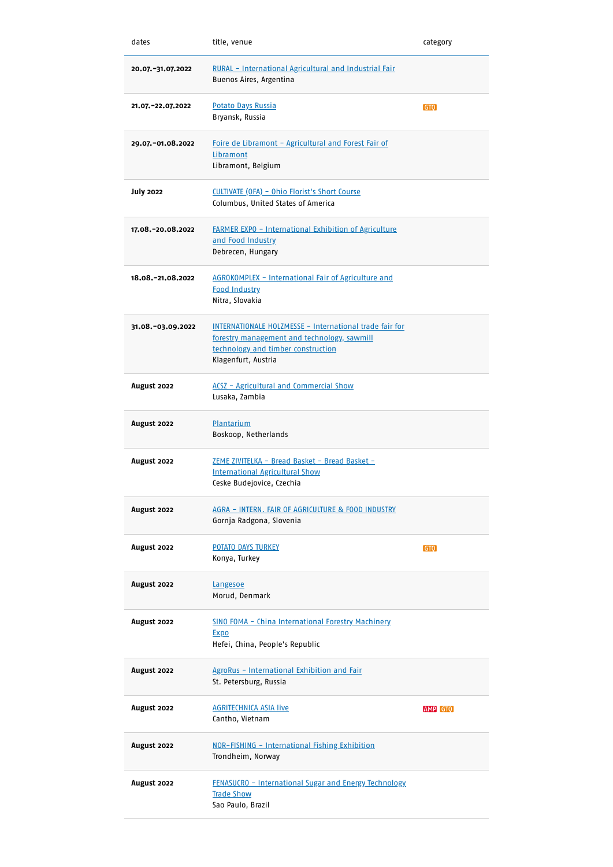| dates               | title, venue                                                                                                                                                        | category |
|---------------------|---------------------------------------------------------------------------------------------------------------------------------------------------------------------|----------|
| 20.07.-31.07.2022   | RURAL - International Agricultural and Industrial Fair<br>Buenos Aires, Argentina                                                                                   |          |
| 21.07. - 22.07.2022 | <b>Potato Days Russia</b><br>Bryansk, Russia                                                                                                                        | GTO      |
| 29.07. - 01.08.2022 | Foire de Libramont - Agricultural and Forest Fair of<br>Libramont<br>Libramont, Belgium                                                                             |          |
| <b>July 2022</b>    | CULTIVATE (OFA) - Ohio Florist's Short Course<br>Columbus, United States of America                                                                                 |          |
| 17.08.-20.08.2022   | <b>FARMER EXPO - International Exhibition of Agriculture</b><br>and Food Industry<br>Debrecen, Hungary                                                              |          |
| 18.08.-21.08.2022   | AGROKOMPLEX - International Fair of Agriculture and<br><b>Food Industry</b><br>Nitra, Slovakia                                                                      |          |
| 31.08.-03.09.2022   | INTERNATIONALE HOLZMESSE - International trade fair for<br>forestry management and technology, sawmill<br>technology and timber construction<br>Klagenfurt, Austria |          |
| August 2022         | ACSZ - Agricultural and Commercial Show<br>Lusaka, Zambia                                                                                                           |          |
| August 2022         | <b>Plantarium</b><br>Boskoop, Netherlands                                                                                                                           |          |
| August 2022         | <u> ZEME ZIVITELKA - Bread Basket - Bread Basket - </u><br><b>International Agricultural Show</b><br>Ceske Budejovice, Czechia                                      |          |
| August 2022         | AGRA - INTERN. FAIR OF AGRICULTURE & FOOD INDUSTRY<br>Gornja Radgona, Slovenia                                                                                      |          |
| August 2022         | <b>POTATO DAYS TURKEY</b><br>Konya, Turkey                                                                                                                          | GTQ      |
| August 2022         | Langesoe<br>Morud, Denmark                                                                                                                                          |          |
| August 2022         | SINO FOMA - China International Forestry Machinery<br><b>Expo</b><br>Hefei, China, People's Republic                                                                |          |
| August 2022         | AgroRus - International Exhibition and Fair<br>St. Petersburg, Russia                                                                                               |          |
| August 2022         | <b>AGRITECHNICA ASIA live</b><br>Cantho, Vietnam                                                                                                                    | AMP GTQ  |
| August 2022         | NOR-FISHING - International Fishing Exhibition<br>Trondheim, Norway                                                                                                 |          |
| August 2022         | FENASUCRO - International Sugar and Energy Technology<br><b>Trade Show</b><br>Sao Paulo, Brazil                                                                     |          |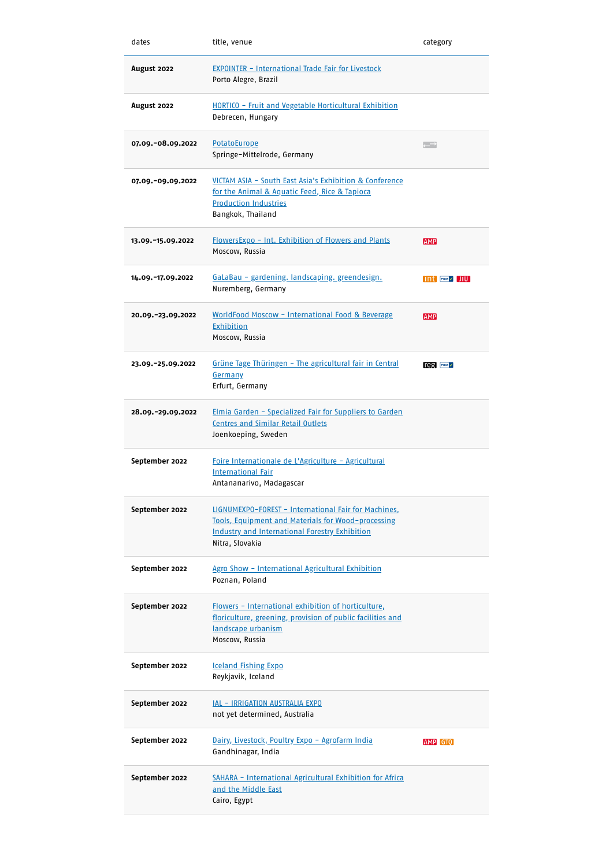| dates                | title, venue                                                                                                                                                                           | category            |
|----------------------|----------------------------------------------------------------------------------------------------------------------------------------------------------------------------------------|---------------------|
| August 2022          | <b>EXPOINTER - International Trade Fair for Livestock</b><br>Porto Alegre, Brazil                                                                                                      |                     |
| August 2022          | HORTICO - Fruit and Vegetable Horticultural Exhibition<br>Debrecen, Hungary                                                                                                            |                     |
| 07.09. - 08.09.2022  | <b>PotatoEurope</b><br>Springe-Mittelrode, Germany                                                                                                                                     | ↩                   |
| 07.09.-09.09.2022    | VICTAM ASIA - South East Asia's Exhibition & Conference<br><u>for the Animal &amp; Aquatic Feed, Rice &amp; Tapioca</u><br><b>Production Industries</b><br>Bangkok, Thailand           |                     |
| 13.09. - 15.09. 2022 | FlowersExpo - Int. Exhibition of Flowers and Plants<br>Moscow, Russia                                                                                                                  | <b>AMP</b>          |
| 14.09.-17.09.2022    | GaLaBau - gardening. landscaping. greendesign.<br>Nuremberg, Germany                                                                                                                   | <b>int</b> FEMY JIU |
| 20.09.-23.09.2022    | WorldFood Moscow - International Food & Beverage<br>Exhibition<br>Moscow, Russia                                                                                                       | <b>AMP</b>          |
| 23.09.-25.09.2022    | Grüne Tage Thüringen - The agricultural fair in Central<br><b>Germany</b><br>Erfurt, Germany                                                                                           | reg Exw v           |
| 28.09.-29.09.2022    | <u> Elmia Garden - Specialized Fair for Suppliers to Garden</u><br><b>Centres and Similar Retail Outlets</b><br>Joenkoeping, Sweden                                                    |                     |
| September 2022       | Foire Internationale de L'Agriculture - Agricultural<br><b>International Fair</b><br>Antananarivo, Madagascar                                                                          |                     |
| September 2022       | LIGNUMEXPO-FOREST - International Fair for Machines,<br>Tools, Equipment and Materials for Wood-processing<br><b>Industry and International Forestry Exhibition</b><br>Nitra, Slovakia |                     |
| September 2022       | Agro Show - International Agricultural Exhibition<br>Poznan, Poland                                                                                                                    |                     |
| September 2022       | Flowers - International exhibition of horticulture,<br>floriculture, greening, provision of public facilities and<br>landscape urbanism<br>Moscow, Russia                              |                     |
| September 2022       | <b>Iceland Fishing Expo</b><br>Reykjavik, Iceland                                                                                                                                      |                     |
| September 2022       | IAL - IRRIGATION AUSTRALIA EXPO<br>not yet determined, Australia                                                                                                                       |                     |
| September 2022       | Dairy, Livestock, Poultry Expo - Agrofarm India<br>Gandhinagar, India                                                                                                                  | AMP GTO             |
| September 2022       | SAHARA - International Agricultural Exhibition for Africa<br>and the Middle East<br>Cairo, Egypt                                                                                       |                     |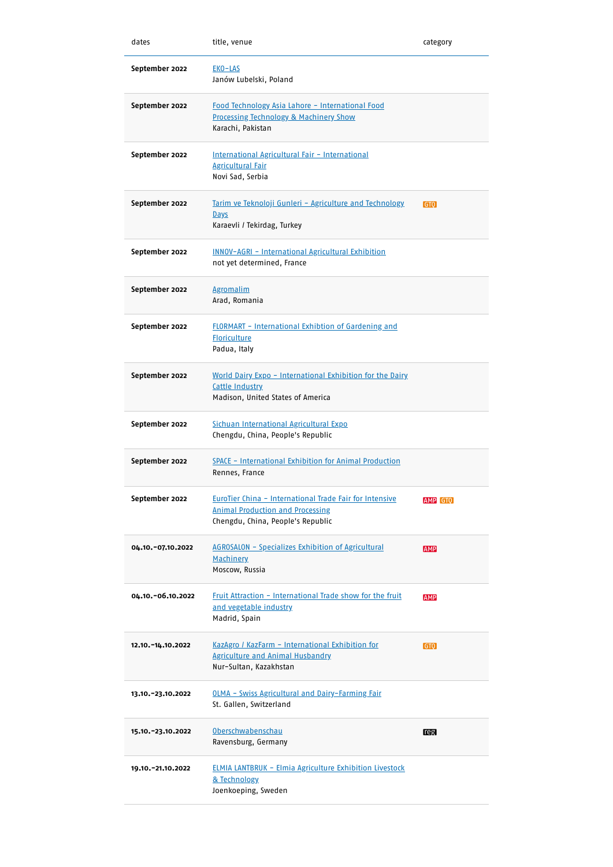| dates                | title, venue                                                                                                                            | category   |
|----------------------|-----------------------------------------------------------------------------------------------------------------------------------------|------------|
| September 2022       | EKO-LAS<br>Janów Lubelski, Poland                                                                                                       |            |
| September 2022       | Food Technology Asia Lahore - International Food<br><b>Processing Technology &amp; Machinery Show</b><br>Karachi, Pakistan              |            |
| September 2022       | International Agricultural Fair - International<br><b>Agricultural Fair</b><br>Novi Sad, Serbia                                         |            |
| September 2022       | Tarim ve Teknoloji Gunleri - Agriculture and Technology<br><u>Days</u><br>Karaevli / Tekirdag, Turkey                                   | GTO        |
| September 2022       | INNOV-AGRI - International Agricultural Exhibition<br>not yet determined, France                                                        |            |
| September 2022       | <b>Agromalim</b><br>Arad, Romania                                                                                                       |            |
| September 2022       | <u> FLORMART - International Exhibtion of Gardening and</u><br><b>Floriculture</b><br>Padua, Italy                                      |            |
| September 2022       | World Dairy Expo - International Exhibition for the Dairy<br><b>Cattle Industry</b><br>Madison, United States of America                |            |
| September 2022       | Sichuan International Agricultural Expo<br>Chengdu, China, People's Republic                                                            |            |
| September 2022       | SPACE - International Exhibition for Animal Production<br>Rennes, France                                                                |            |
| September 2022       | EuroTier China - International Trade Fair for Intensive<br><b>Animal Production and Processing</b><br>Chengdu, China, People's Republic | AMP GTQ    |
| 04.10. - 07.10.2022  | AGROSALON - Specializes Exhibition of Agricultural<br><b>Machinery</b><br>Moscow, Russia                                                | <b>AMP</b> |
| 04.10.-06.10.2022    | Fruit Attraction - International Trade show for the fruit<br>and vegetable industry<br>Madrid, Spain                                    | <b>AMP</b> |
| 12.10. - 14.10.2022  | KazAgro / KazFarm - International Exhibition for<br><b>Agriculture and Animal Husbandry</b><br>Nur-Sultan, Kazakhstan                   | GTO        |
| 13.10.-23.10.2022    | OLMA - Swiss Agricultural and Dairy-Farming Fair<br>St. Gallen, Switzerland                                                             |            |
| 15.10. - 23.10. 2022 | <b>Oberschwabenschau</b><br>Ravensburg, Germany                                                                                         | reg        |
| 19.10. - 21.10. 2022 | <b>ELMIA LANTBRUK - Elmia Agriculture Exhibition Livestock</b><br>& Technology<br>Joenkoeping, Sweden                                   |            |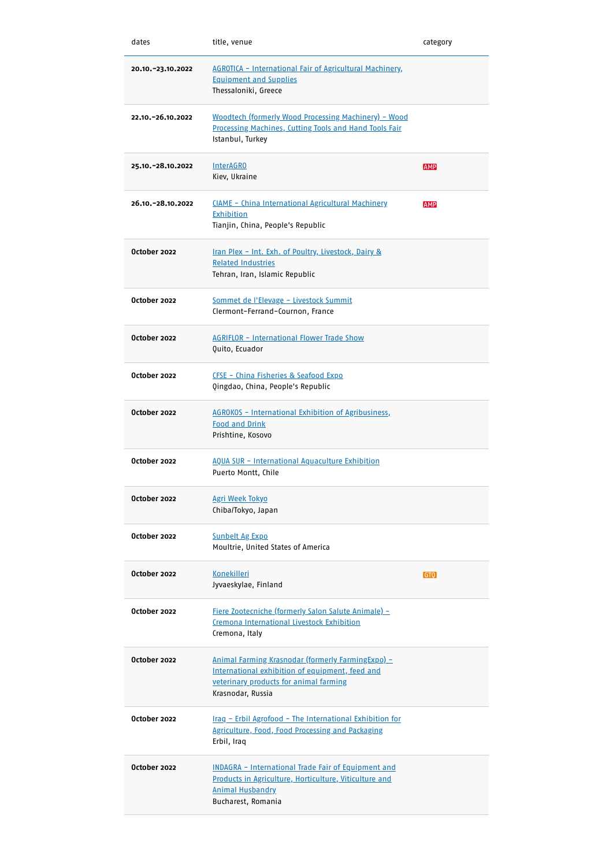| dates                | title, venue                                                                                                                                                          | category   |
|----------------------|-----------------------------------------------------------------------------------------------------------------------------------------------------------------------|------------|
| 20.10. - 23.10. 2022 | AGROTICA - International Fair of Agricultural Machinery,<br><b>Equipment and Supplies</b><br>Thessaloniki, Greece                                                     |            |
| 22,10, -26,10, 2022  | Woodtech (formerly Wood Processing Machinery) - Wood<br>Processing Machines, Cutting Tools and Hand Tools Fair<br>Istanbul, Turkey                                    |            |
| 25.10. - 28.10. 2022 | <b>InterAGRO</b><br>Kiev, Ukraine                                                                                                                                     | <b>AMP</b> |
| 26,10, -28,10, 2022  | CIAME - China International Agricultural Machinery<br>Exhibition<br>Tianjin, China, People's Republic                                                                 | <b>AMP</b> |
| October 2022         | Iran Plex - Int. Exh. of Poultry, Livestock, Dairy &<br><b>Related Industries</b><br>Tehran, Iran, Islamic Republic                                                   |            |
| October 2022         | Sommet de l'Elevage - Livestock Summit<br>Clermont-Ferrand-Cournon, France                                                                                            |            |
| October 2022         | <b>AGRIFLOR - International Flower Trade Show</b><br>Quito, Ecuador                                                                                                   |            |
| October 2022         | CFSE - China Fisheries & Seafood Expo<br>Qingdao, China, People's Republic                                                                                            |            |
| October 2022         | AGROKOS - International Exhibition of Agribusiness,<br><b>Food and Drink</b><br>Prishtine, Kosovo                                                                     |            |
| October 2022         | AQUA SUR - International Aquaculture Exhibition<br>Puerto Montt, Chile                                                                                                |            |
| October 2022         | Agri Week Tokyo<br>Chiba/Tokyo, Japan                                                                                                                                 |            |
| October 2022         | Sunbelt Ag Expo<br>Moultrie, United States of America                                                                                                                 |            |
| October 2022         | <b>Konekilleri</b><br>Jyvaeskylae, Finland                                                                                                                            | GTQ        |
| October 2022         | Fiere Zootecniche (formerly Salon Salute Animale) -<br>Cremona International Livestock Exhibition<br>Cremona, Italy                                                   |            |
| October 2022         | Animal Farming Krasnodar (formerly Farming Expo) -<br>International exhibition of equipment, feed and<br>veterinary products for animal farming<br>Krasnodar, Russia  |            |
| October 2022         | Iraq - Erbil Agrofood - The International Exhibition for<br><u> Agriculture, Food, Food Processing and Packaging</u><br>Erbil, Iraq                                   |            |
| October 2022         | <b>INDAGRA - International Trade Fair of Equipment and</b><br>Products in Agriculture, Horticulture, Viticulture and<br><b>Animal Husbandry</b><br>Bucharest, Romania |            |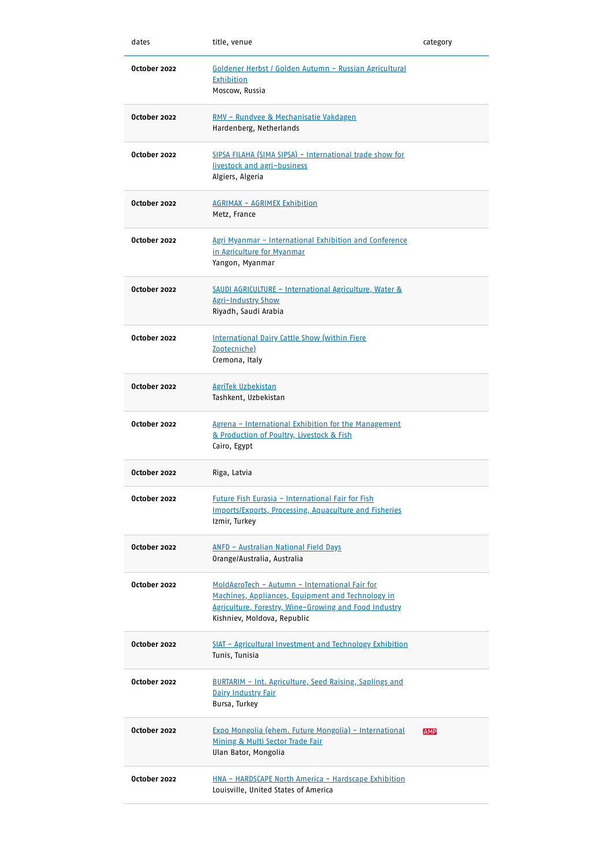| dates        | title, venue                                                                                                                                                                                | category   |
|--------------|---------------------------------------------------------------------------------------------------------------------------------------------------------------------------------------------|------------|
| October 2022 | Goldener Herbst / Golden Autumn - Russian Agricultural<br>Exhibition<br>Moscow, Russia                                                                                                      |            |
| October 2022 | <u> RMV - Rundvee &amp; Mechanisatie Vakdagen</u><br>Hardenberg, Netherlands                                                                                                                |            |
| October 2022 | SIPSA FILAHA (SIMA SIPSA) - International trade show for<br>livestock and agri-business<br>Algiers, Algeria                                                                                 |            |
| October 2022 | <b>AGRIMAX - AGRIMEX Exhibition</b><br>Metz, France                                                                                                                                         |            |
| October 2022 | Agri Myanmar - International Exhibition and Conference<br>in Agriculture for Myanmar<br>Yangon, Myanmar                                                                                     |            |
| October 2022 | SAUDI AGRICULTURE - International Agriculture, Water &<br><b>Agri-Industry Show</b><br>Riyadh, Saudi Arabia                                                                                 |            |
| October 2022 | <b>International Dairy Cattle Show (within Fiere</b><br>Zootecniche)<br>Cremona, Italy                                                                                                      |            |
| October 2022 | <b>AgriTek Uzbekistan</b><br>Tashkent, Uzbekistan                                                                                                                                           |            |
| October 2022 | Agrena - International Exhibition for the Management<br>& Production of Poultry, Livestock & Fish<br>Cairo, Egypt                                                                           |            |
| October 2022 | Riga, Latvia                                                                                                                                                                                |            |
| October 2022 | Future Fish Eurasia - International Fair for Fish<br><b>Imports/Exports, Processing, Aquaculture and Fisheries</b><br>Izmir, Turkey                                                         |            |
| October 2022 | ANFD - Australian National Field Days<br>Orange/Australia, Australia                                                                                                                        |            |
| October 2022 | MoldAgroTech - Autumn - International Fair for<br>Machines, Appliances, Equipment and Technology in<br>Agriculture, Forestry, Wine-Growing and Food Industry<br>Kishniev, Moldova, Republic |            |
| October 2022 | SIAT - Agricultural Investment and Technology Exhibition<br>Tunis, Tunisia                                                                                                                  |            |
| October 2022 | <u> BURTARIM - Int. Agriculture, Seed Raising, Saplings and</u><br><b>Dairy Industry Fair</b><br>Bursa, Turkey                                                                              |            |
| October 2022 | Expo Mongolia (ehem. Future Mongolia) - International<br>Mining & Multi Sector Trade Fair<br>Ulan Bator, Mongolia                                                                           | <b>AMP</b> |
| October 2022 | <u> HNA - HARDSCAPE North America - Hardscape Exhibition</u><br>Louisville, United States of America                                                                                        |            |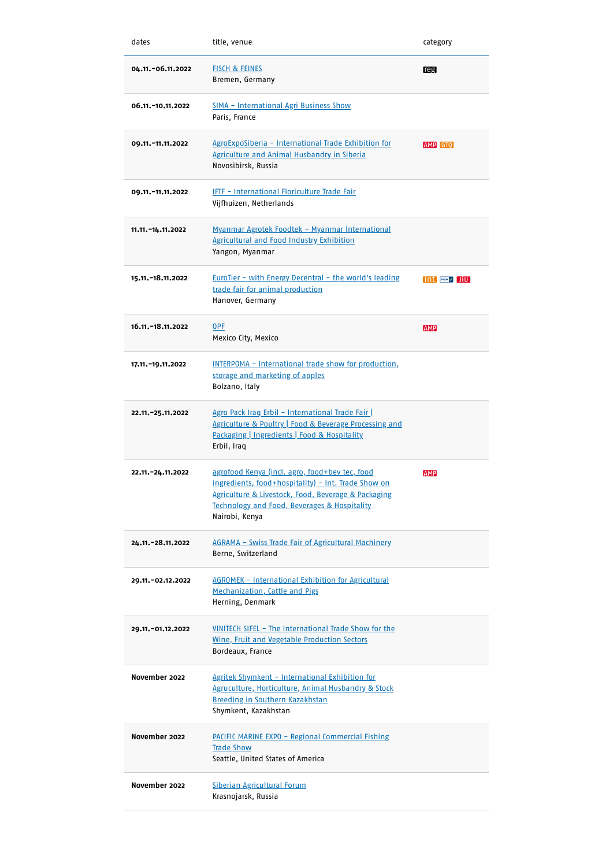| dates                 | title, venue                                                                                                                                                                                                                   | category                                                                                                                                                                                                                                                                                                                 |
|-----------------------|--------------------------------------------------------------------------------------------------------------------------------------------------------------------------------------------------------------------------------|--------------------------------------------------------------------------------------------------------------------------------------------------------------------------------------------------------------------------------------------------------------------------------------------------------------------------|
| 04.11. - 06.11.2022   | <b>FISCH &amp; FEINES</b><br>Bremen, Germany                                                                                                                                                                                   | reg                                                                                                                                                                                                                                                                                                                      |
| 06.11. - 10.11.2022   | SIMA - International Agri Business Show<br>Paris, France                                                                                                                                                                       |                                                                                                                                                                                                                                                                                                                          |
| 09.11. - 11.11.2022   | AgroExpoSiberia - International Trade Exhibition for<br><b>Agriculture and Animal Husbandry in Siberia</b><br>Novosibirsk, Russia                                                                                              | AMP GTO                                                                                                                                                                                                                                                                                                                  |
| 09.11. - 11.11.2022   | <b>IFTF - International Floriculture Trade Fair</b><br>Vijfhuizen, Netherlands                                                                                                                                                 |                                                                                                                                                                                                                                                                                                                          |
| 11.11. - 14.11.2022   | Myanmar Agrotek Foodtek - Myanmar International<br><b>Agricultural and Food Industry Exhibition</b><br>Yangon, Myanmar                                                                                                         |                                                                                                                                                                                                                                                                                                                          |
| 15.11. - 18.11. 2022  | <b>EuroTier - with Energy Decentral - the world's leading</b><br>trade fair for animal production<br>Hanover, Germany                                                                                                          | $int$ $\frac{1}{2}$ $\frac{1}{2}$ $\frac{1}{2}$ $\frac{1}{2}$ $\frac{1}{2}$ $\frac{1}{2}$ $\frac{1}{2}$ $\frac{1}{2}$ $\frac{1}{2}$ $\frac{1}{2}$ $\frac{1}{2}$ $\frac{1}{2}$ $\frac{1}{2}$ $\frac{1}{2}$ $\frac{1}{2}$ $\frac{1}{2}$ $\frac{1}{2}$ $\frac{1}{2}$ $\frac{1}{2}$ $\frac{1}{2}$ $\frac{1}{2}$ $\frac{1}{2$ |
| 16.11. - 18.11.2022   | <b>OPF</b><br>Mexico City, Mexico                                                                                                                                                                                              | <b>AMP</b>                                                                                                                                                                                                                                                                                                               |
| 17.11. - 19.11. 2022  | INTERPOMA - International trade show for production,<br>storage and marketing of apples<br>Bolzano, Italy                                                                                                                      |                                                                                                                                                                                                                                                                                                                          |
| 22.11. - 25.11. 2022  | Agro Pack Iraq Erbil - International Trade Fair<br>Agriculture & Poultry   Food & Beverage Processing and<br>Packaging   Ingredients   Food & Hospitality<br>Erbil, Iraq                                                       |                                                                                                                                                                                                                                                                                                                          |
| 22, 11, -24, 11, 2022 | agrofood Kenya (incl. agro, food+bev tec, food<br>ingredients, food+hospitality) - Int. Trade Show on<br>Agriculture & Livestock, Food, Beverage & Packaging<br>Technology and Food, Beverages & Hospitality<br>Nairobi, Kenya | <b>AMP</b>                                                                                                                                                                                                                                                                                                               |
| 24.11. - 28.11. 2022  | <b>AGRAMA - Swiss Trade Fair of Agricultural Machinery</b><br>Berne, Switzerland                                                                                                                                               |                                                                                                                                                                                                                                                                                                                          |
| 29.11. - 02.12.2022   | <b>AGROMEK - International Exhibition for Agricultural</b><br>Mechanization, Cattle and Pigs<br>Herning, Denmark                                                                                                               |                                                                                                                                                                                                                                                                                                                          |
| 29.11. - 01.12. 2022  | VINITECH SIFEL - The International Trade Show for the<br>Wine, Fruit and Vegetable Production Sectors<br>Bordeaux, France                                                                                                      |                                                                                                                                                                                                                                                                                                                          |
| November 2022         | <u> Agritek Shymkent - International Exhibition for</u><br>Agruculture, Horticulture, Animal Husbandry & Stock<br>Breeding in Southern Kazakhstan<br>Shymkent, Kazakhstan                                                      |                                                                                                                                                                                                                                                                                                                          |
| November 2022         | <b>PACIFIC MARINE EXPO - Regional Commercial Fishing</b><br><b>Trade Show</b><br>Seattle, United States of America                                                                                                             |                                                                                                                                                                                                                                                                                                                          |
| November 2022         | Siberian Agricultural Forum<br>Krasnojarsk, Russia                                                                                                                                                                             |                                                                                                                                                                                                                                                                                                                          |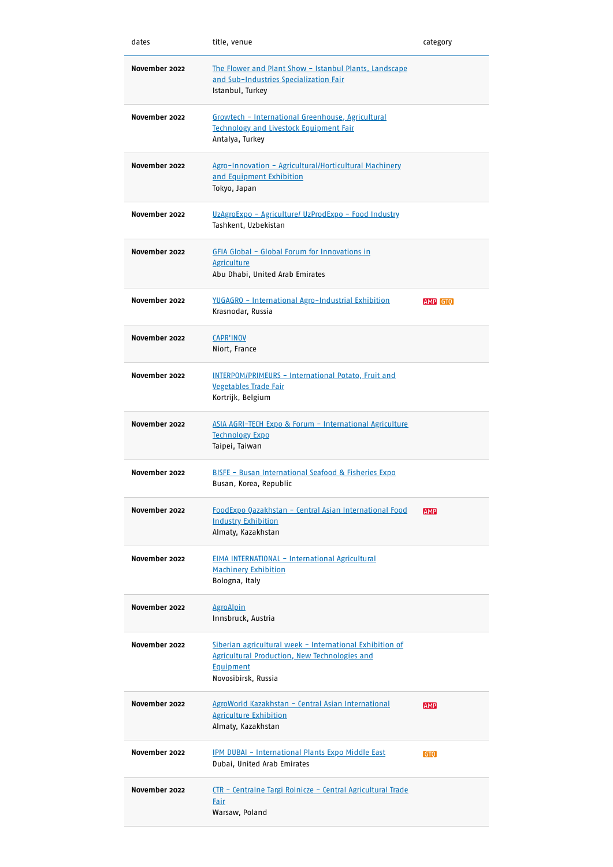| dates         | title, venue                                                                                                                                  | category   |
|---------------|-----------------------------------------------------------------------------------------------------------------------------------------------|------------|
| November 2022 | The Flower and Plant Show - Istanbul Plants, Landscape<br>and Sub-Industries Specialization Fair<br>Istanbul, Turkey                          |            |
| November 2022 | Growtech - International Greenhouse, Agricultural<br>Technology and Livestock Equipment Fair<br>Antalya, Turkey                               |            |
| November 2022 | Agro-Innovation - Agricultural/Horticultural Machinery<br>and Equipment Exhibition<br>Tokyo, Japan                                            |            |
| November 2022 | UzAgroExpo - Agriculture/ UzProdExpo - Food Industry<br>Tashkent, Uzbekistan                                                                  |            |
| November 2022 | GFIA Global - Global Forum for Innovations in<br><b>Agriculture</b><br>Abu Dhabi, United Arab Emirates                                        |            |
| November 2022 | YUGAGRO - International Agro-Industrial Exhibition<br>Krasnodar, Russia                                                                       | AMP GTO    |
| November 2022 | <b>CAPR'INOV</b><br>Niort, France                                                                                                             |            |
| November 2022 | <b>INTERPOM/PRIMEURS - International Potato, Fruit and</b><br>Vegetables Trade Fair<br>Kortrijk, Belgium                                      |            |
| November 2022 | ASIA AGRI-TECH Expo & Forum - International Agriculture<br><b>Technology Expo</b><br>Taipei, Taiwan                                           |            |
| November 2022 | BISFE - Busan International Seafood & Fisheries Expo<br>Busan, Korea, Republic                                                                |            |
| November 2022 | FoodExpo Qazakhstan - Central Asian International Food<br><b>Industry Exhibition</b><br>Almaty, Kazakhstan                                    | <b>AMP</b> |
| November 2022 | EIMA INTERNATIONAL - International Agricultural<br><b>Machinery Exhibition</b><br>Bologna, Italy                                              |            |
| November 2022 | <b>AgroAlpin</b><br>Innsbruck, Austria                                                                                                        |            |
| November 2022 | Siberian agricultural week - International Exhibition of<br>Agricultural Production, New Technologies and<br>Equipment<br>Novosibirsk, Russia |            |
| November 2022 | AgroWorld Kazakhstan - Central Asian International<br><b>Agriculture Exhibition</b><br>Almaty, Kazakhstan                                     | <b>AMP</b> |
| November 2022 | <b>IPM DUBAI - International Plants Expo Middle East</b><br>Dubai, United Arab Emirates                                                       | GTO        |
| November 2022 | CTR - Centralne Targi Rolnicze - Central Agricultural Trade<br>Fair<br>Warsaw, Poland                                                         |            |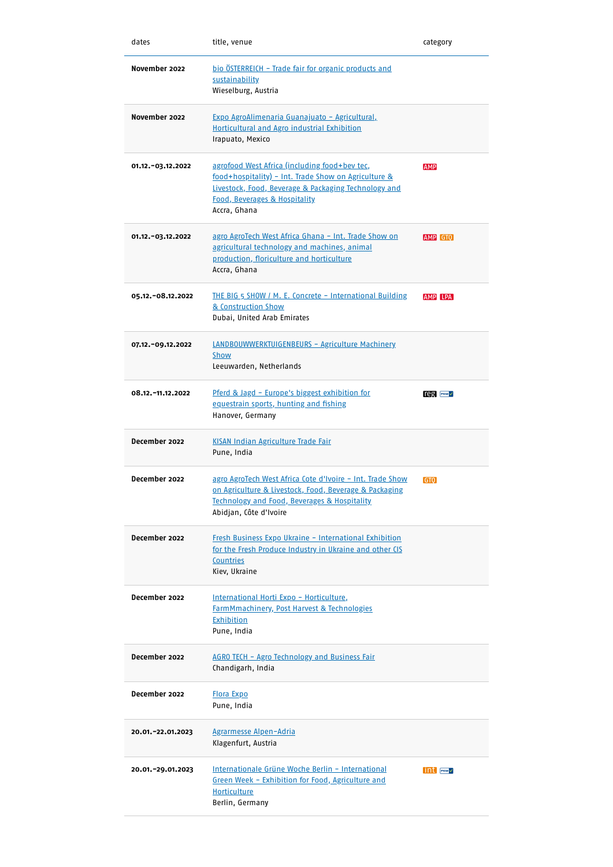| dates                | title, venue                                                                                                                                                                                                   | category   |
|----------------------|----------------------------------------------------------------------------------------------------------------------------------------------------------------------------------------------------------------|------------|
| November 2022        | bio ÖSTERREICH - Trade fair for organic products and<br>sustainability<br>Wieselburg, Austria                                                                                                                  |            |
| November 2022        | Expo AgroAlimenaria Guanajuato - Agricultural,<br><b>Horticultural and Agro industrial Exhibition</b><br>Irapuato, Mexico                                                                                      |            |
| 01.12. - 03.12.2022  | agrofood West Africa (including food+bey tec,<br>food+hospitality) - Int. Trade Show on Agriculture &<br>Livestock, Food, Beverage & Packaging Technology and<br>Food, Beverages & Hospitality<br>Accra, Ghana | <b>AMP</b> |
| 01.12. - 03.12.2022  | agro AgroTech West Africa Ghana - Int. Trade Show on<br>agricultural technology and machines, animal<br>production, floriculture and horticulture<br>Accra, Ghana                                              | AMP GTO    |
| 05.12. - 08.12.2022  | THE BIG 5 SHOW / M. E. Concrete - International Building<br>& Construction Show<br>Dubai, United Arab Emirates                                                                                                 | AMP LPA    |
| 07.12. - 09.12.2022  | <b>LANDBOUWWERKTUIGENBEURS - Agriculture Machinery</b><br>Show<br>Leeuwarden, Netherlands                                                                                                                      |            |
| 08.12. - 11.12. 2022 | <u> Pferd &amp; Jagd - Europe's biggest exhibition for</u><br>equestrain sports, hunting and fishing<br>Hanover, Germany                                                                                       | reg Exw v  |
| December 2022        | <b>KISAN Indian Agriculture Trade Fair</b><br>Pune, India                                                                                                                                                      |            |
| December 2022        | agro AgroTech West Africa Cote d'Ivoire - Int. Trade Show<br>on Agriculture & Livestock, Food, Beverage & Packaging<br>Technology and Food, Beverages & Hospitality<br>Abidjan, Côte d'Ivoire                  | GTO        |
| December 2022        | Fresh Business Expo Ukraine - International Exhibition<br>for the Fresh Produce Industry in Ukraine and other CIS<br>Countries<br>Kiev, Ukraine                                                                |            |
| December 2022        |                                                                                                                                                                                                                |            |
|                      | International Horti Expo - Horticulture,<br><b>FarmMmachinery, Post Harvest &amp; Technologies</b><br>Exhibition<br>Pune, India                                                                                |            |
| December 2022        | AGRO TECH - Agro Technology and Business Fair<br>Chandigarh, India                                                                                                                                             |            |
| December 2022        | <b>Flora Expo</b><br>Pune, India                                                                                                                                                                               |            |
| 20.01. - 22.01.2023  | <u> Agrarmesse Alpen-Adria</u><br>Klagenfurt, Austria                                                                                                                                                          |            |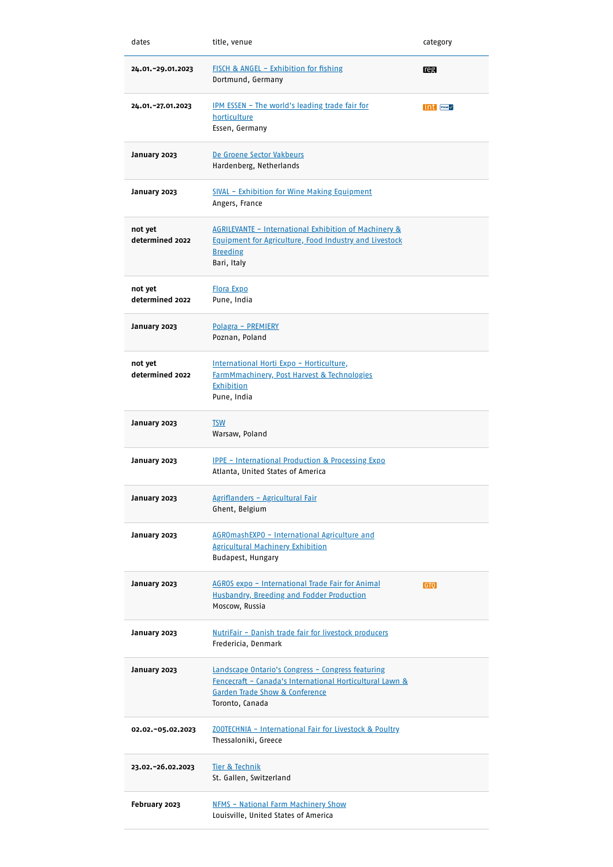| dates                      | title, venue                                                                                                                                                                  | category        |
|----------------------------|-------------------------------------------------------------------------------------------------------------------------------------------------------------------------------|-----------------|
| 24.01.-29.01.2023          | FISCH & ANGEL - Exhibition for fishing<br>Dortmund, Germany                                                                                                                   | reg             |
| 24.01.-27.01.2023          | IPM ESSEN - The world's leading trade fair for<br>horticulture<br>Essen, Germany                                                                                              | <b>int</b> FKMV |
| January 2023               | De Groene Sector Vakbeurs<br>Hardenberg, Netherlands                                                                                                                          |                 |
| January 2023               | SIVAL - Exhibition for Wine Making Equipment<br>Angers, France                                                                                                                |                 |
| not yet<br>determined 2022 | AGRILEVANTE - International Exhibition of Machinery &<br><b>Equipment for Agriculture, Food Industry and Livestock</b><br><b>Breeding</b><br>Bari, Italy                      |                 |
| not yet<br>determined 2022 | <b>Flora Expo</b><br>Pune, India                                                                                                                                              |                 |
| January 2023               | <u> Polagra – PREMIERY</u><br>Poznan, Poland                                                                                                                                  |                 |
| not yet<br>determined 2022 | International Horti Expo - Horticulture,<br><b>FarmMmachinery, Post Harvest &amp; Technologies</b><br>Exhibition<br>Pune, India                                               |                 |
| January 2023               | <b>TSW</b><br>Warsaw, Poland                                                                                                                                                  |                 |
| January 2023               | <b>IPPE - International Production &amp; Processing Expo</b><br>Atlanta, United States of America                                                                             |                 |
| January 2023               | <u> Agriflanders - Agricultural Fair</u><br>Ghent, Belgium                                                                                                                    |                 |
| January 2023               | AGROmashEXPO - International Agriculture and<br><b>Agricultural Machinery Exhibition</b><br>Budapest, Hungary                                                                 |                 |
| January 2023               | AGROS expo - International Trade Fair for Animal<br><b>Husbandry, Breeding and Fodder Production</b><br>Moscow, Russia                                                        | GTO             |
| January 2023               | NutriFair - Danish trade fair for livestock producers<br>Fredericia, Denmark                                                                                                  |                 |
| January 2023               | Landscape Ontario's Congress - Congress featuring<br>Fencecraft - Canada's International Horticultural Lawn &<br><b>Garden Trade Show &amp; Conference</b><br>Toronto, Canada |                 |
| 02.02.-05.02.2023          | ZOOTECHNIA - International Fair for Livestock & Poultry<br>Thessaloniki, Greece                                                                                               |                 |
| 23.02.-26.02.2023          | Tier & Technik<br>St. Gallen, Switzerland                                                                                                                                     |                 |
| February 2023              | <u>NFMS - National Farm Machinery Show</u><br>Louisville, United States of America                                                                                            |                 |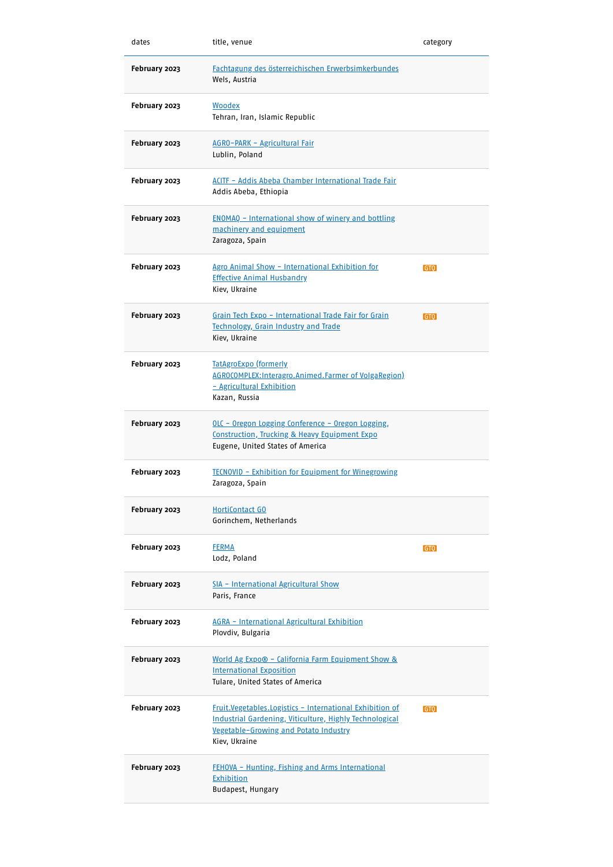| dates         | title, venue                                                                                                                                                                  | category |
|---------------|-------------------------------------------------------------------------------------------------------------------------------------------------------------------------------|----------|
| February 2023 | Fachtagung des österreichischen Erwerbsimkerbundes<br>Wels, Austria                                                                                                           |          |
| February 2023 | <b>Woodex</b><br>Tehran, Iran, Islamic Republic                                                                                                                               |          |
| February 2023 | AGRO-PARK - Agricultural Fair<br>Lublin, Poland                                                                                                                               |          |
| February 2023 | ACITF - Addis Abeba Chamber International Trade Fair<br>Addis Abeba, Ethiopia                                                                                                 |          |
| February 2023 | <b>ENOMAQ - International show of winery and bottling</b><br>machinery and equipment<br>Zaragoza, Spain                                                                       |          |
| February 2023 | Agro Animal Show - International Exhibition for<br><b>Effective Animal Husbandry</b><br>Kiev, Ukraine                                                                         | GTO      |
| February 2023 | <u> Grain Tech Expo - International Trade Fair for Grain</u><br>Technology, Grain Industry and Trade<br>Kiev, Ukraine                                                         | GTO      |
| February 2023 | TatAgroExpo (formerly<br>AGROCOMPLEX: Interagro. Animed. Farmer of VolgaRegion)<br>- Agricultural Exhibition<br>Kazan, Russia                                                 |          |
| February 2023 | <u> OLC – Oregon Logging Conference – Oregon Logging, </u><br>Construction, Trucking & Heavy Equipment Expo<br>Eugene, United States of America                               |          |
| February 2023 | TECNOVID - Exhibition for Equipment for Winegrowing<br>Zaragoza, Spain                                                                                                        |          |
| February 2023 | <b>HortiContact GO</b><br>Gorinchem, Netherlands                                                                                                                              |          |
| February 2023 | <b>FERMA</b><br>Lodz, Poland                                                                                                                                                  | GTO      |
| February 2023 | SIA - International Agricultural Show<br>Paris, France                                                                                                                        |          |
| February 2023 | <b>AGRA - International Agricultural Exhibition</b><br>Plovdiv, Bulgaria                                                                                                      |          |
| February 2023 | World Ag Expo® - California Farm Equipment Show &<br><b>International Exposition</b><br>Tulare, United States of America                                                      |          |
| February 2023 | Fruit.Vegetables.Logistics - International Exhibition of<br>Industrial Gardening, Viticulture, Highly Technological<br>Vegetable-Growing and Potato Industry<br>Kiev, Ukraine | GTO      |
| February 2023 | <b>FEHOVA - Hunting, Fishing and Arms International</b><br>Exhibition<br>Budapest, Hungary                                                                                    |          |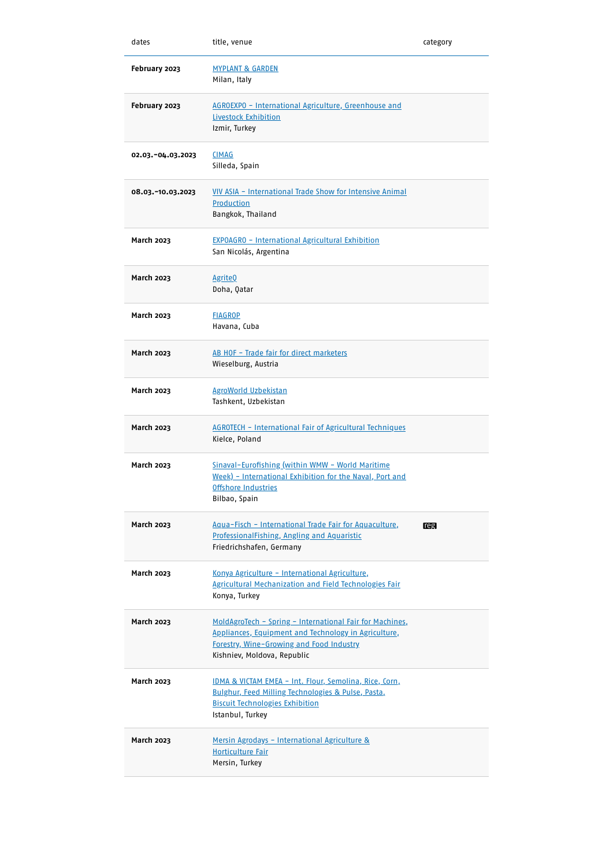| dates                | title, venue                                                                                                                                                                                | category |
|----------------------|---------------------------------------------------------------------------------------------------------------------------------------------------------------------------------------------|----------|
| February 2023        | <b>MYPLANT &amp; GARDEN</b><br>Milan, Italy                                                                                                                                                 |          |
| February 2023        | AGROEXPO - International Agriculture, Greenhouse and<br><b>Livestock Exhibition</b><br>Izmir, Turkey                                                                                        |          |
| 02.03. - 04.03. 2023 | <b>CIMAG</b><br>Silleda, Spain                                                                                                                                                              |          |
| 08.03.-10.03.2023    | VIV ASIA - International Trade Show for Intensive Animal<br>Production<br>Bangkok, Thailand                                                                                                 |          |
| March 2023           | <b>EXPOAGRO</b> - International Agricultural Exhibition<br>San Nicolás, Argentina                                                                                                           |          |
| March 2023           | AgriteQ<br>Doha, Qatar                                                                                                                                                                      |          |
| March 2023           | <b>FIAGROP</b><br>Havana, Cuba                                                                                                                                                              |          |
| March 2023           | <u> AB HOF - Trade fair for direct marketers</u><br>Wieselburg, Austria                                                                                                                     |          |
| March 2023           | <b>AgroWorld Uzbekistan</b><br>Tashkent, Uzbekistan                                                                                                                                         |          |
| March 2023           | <b>AGROTECH - International Fair of Agricultural Techniques</b><br>Kielce, Poland                                                                                                           |          |
| March 2023           | Sinaval-Eurofishing (within WMW - World Maritime<br>Week) - International Exhibition for the Naval, Port and<br>Offshore Industries<br>Bilbao, Spain                                        |          |
| March 2023           | Aqua-Fisch - International Trade Fair for Aquaculture,<br><b>ProfessionalFishing, Angling and Aquaristic</b><br>Friedrichshafen, Germany                                                    | reg      |
| March 2023           | Konya Agriculture - International Agriculture,<br><b>Agricultural Mechanization and Field Technologies Fair</b><br>Konya, Turkey                                                            |          |
| March 2023           | MoldAgroTech - Spring - International Fair for Machines,<br>Appliances, Equipment and Technology in Agriculture,<br>Forestry, Wine-Growing and Food Industry<br>Kishniev, Moldova, Republic |          |
| March 2023           | IDMA & VICTAM EMEA - Int. Flour, Semolina, Rice, Corn,<br>Bulghur, Feed Milling Technologies & Pulse, Pasta,<br><b>Biscuit Technologies Exhibition</b><br>Istanbul, Turkey                  |          |
| March 2023           | Mersin Agrodays - International Agriculture &<br><b>Horticulture Fair</b><br>Mersin, Turkey                                                                                                 |          |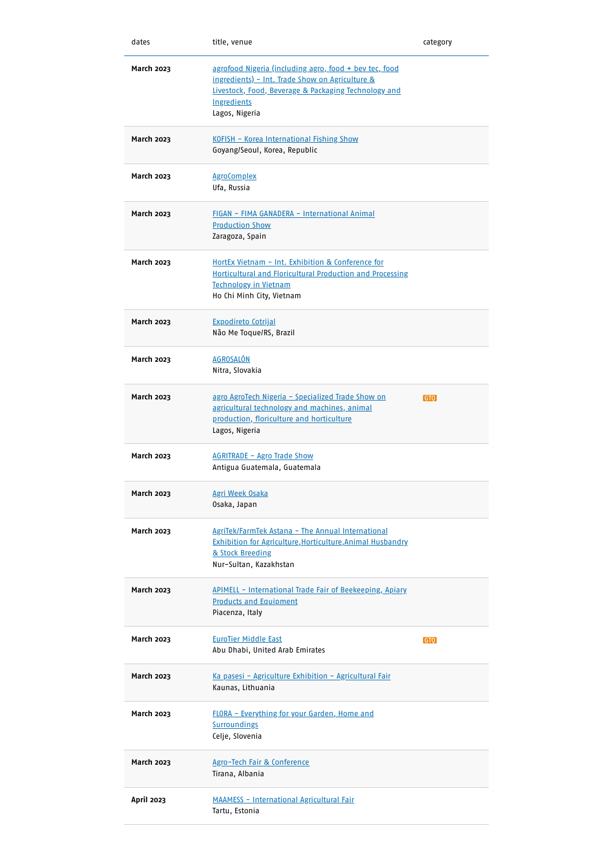| dates             | title, venue                                                                                                                                                                                       | category |
|-------------------|----------------------------------------------------------------------------------------------------------------------------------------------------------------------------------------------------|----------|
| March 2023        | agrofood Nigeria (including agro, food + bey tec, food<br>ingredients) - Int. Trade Show on Agriculture &<br>Livestock, Food, Beverage & Packaging Technology and<br>Ingredients<br>Lagos, Nigeria |          |
| March 2023        | KOFISH - Korea International Fishing Show<br>Goyang/Seoul, Korea, Republic                                                                                                                         |          |
| March 2023        | <b>AgroComplex</b><br>Ufa, Russia                                                                                                                                                                  |          |
| <b>March 2023</b> | FIGAN - FIMA GANADERA - International Animal<br><b>Production Show</b><br>Zaragoza, Spain                                                                                                          |          |
| March 2023        | HortEx Vietnam - Int. Exhibition & Conference for<br><b>Horticultural and Floricultural Production and Processing</b><br><b>Technology in Vietnam</b><br>Ho Chi Minh City, Vietnam                 |          |
| <b>March 2023</b> | <b>Expodireto Cotrijal</b><br>Não Me Toque/RS, Brazil                                                                                                                                              |          |
| <b>March 2023</b> | <b>AGROSALÓN</b><br>Nitra, Slovakia                                                                                                                                                                |          |
| <b>March 2023</b> | agro AgroTech Nigeria - Specialized Trade Show on<br>agricultural technology and machines, animal<br>production, floriculture and horticulture<br>Lagos, Nigeria                                   | GTO      |
| March 2023        | <b>AGRITRADE - Agro Trade Show</b><br>Antigua Guatemala, Guatemala                                                                                                                                 |          |
| March 2023        | <u>Agri Week Osaka</u><br>Osaka, Japan                                                                                                                                                             |          |
| March 2023        | AgriTek/FarmTek Astana - The Annual International<br><b>Exhibition for Agriculture, Horticulture, Animal Husbandry</b><br>& Stock Breeding<br>Nur-Sultan, Kazakhstan                               |          |
| <b>March 2023</b> | APIMELL - International Trade Fair of Beekeeping, Apiary<br><b>Products and Equipment</b><br>Piacenza, Italy                                                                                       |          |
| March 2023        | <b>EuroTier Middle East</b><br>Abu Dhabi, United Arab Emirates                                                                                                                                     | GTQ      |
| March 2023        | Ka pasesi - Agriculture Exhibition - Agricultural Fair<br>Kaunas, Lithuania                                                                                                                        |          |
| <b>March 2023</b> | FLORA - Everything for your Garden, Home and<br><b>Surroundings</b><br>Celje, Slovenia                                                                                                             |          |
| <b>March 2023</b> | Agro-Tech Fair & Conference<br>Tirana, Albania                                                                                                                                                     |          |
| <b>April 2023</b> | <b>MAAMESS - International Agricultural Fair</b><br>Tartu, Estonia                                                                                                                                 |          |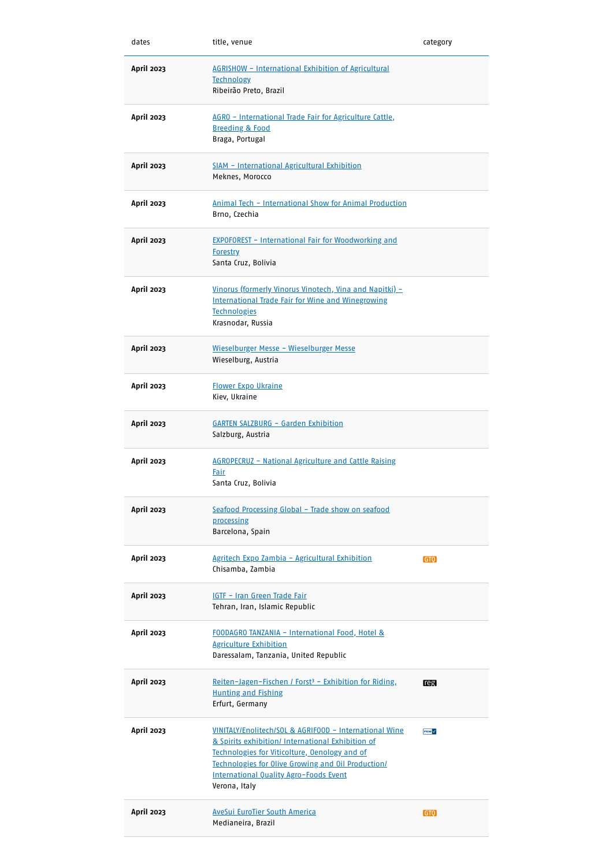| dates             | title, venue                                                                                                                                                                                                                                                                         | category |
|-------------------|--------------------------------------------------------------------------------------------------------------------------------------------------------------------------------------------------------------------------------------------------------------------------------------|----------|
| <b>April 2023</b> | <b>AGRISHOW - International Exhibition of Agricultural</b><br><b>Technology</b><br>Ribeirão Preto, Brazil                                                                                                                                                                            |          |
| April 2023        | AGRO - International Trade Fair for Agriculture Cattle,<br><b>Breeding &amp; Food</b><br>Braga, Portugal                                                                                                                                                                             |          |
| April 2023        | SIAM - International Agricultural Exhibition<br>Meknes, Morocco                                                                                                                                                                                                                      |          |
| April 2023        | Animal Tech - International Show for Animal Production<br>Brno, Czechia                                                                                                                                                                                                              |          |
| <b>April 2023</b> | <b>EXPOFOREST - International Fair for Woodworking and</b><br><b>Forestry</b><br>Santa Cruz, Bolivia                                                                                                                                                                                 |          |
| <b>April 2023</b> | Vinorus (formerly Vinorus Vinotech, Vina and Napitki) -<br><b>International Trade Fair for Wine and Winegrowing</b><br><b>Technologies</b><br>Krasnodar, Russia                                                                                                                      |          |
| <b>April 2023</b> | Wieselburger Messe - Wieselburger Messe<br>Wieselburg, Austria                                                                                                                                                                                                                       |          |
| <b>April 2023</b> | <b>Flower Expo Ukraine</b><br>Kiev, Ukraine                                                                                                                                                                                                                                          |          |
| April 2023        | <b>GARTEN SALZBURG - Garden Exhibition</b><br>Salzburg, Austria                                                                                                                                                                                                                      |          |
| April 2023        | <b>AGROPECRUZ - National Agriculture and Cattle Raising</b><br>Fair<br>Santa Cruz, Bolivia                                                                                                                                                                                           |          |
| <b>April 2023</b> | Seafood Processing Global - Trade show on seafood<br>processing<br>Barcelona, Spain                                                                                                                                                                                                  |          |
| <b>April 2023</b> | Agritech Expo Zambia - Agricultural Exhibition<br>Chisamba, Zambia                                                                                                                                                                                                                   | GTQ      |
| <b>April 2023</b> | <b>IGTF - Iran Green Trade Fair</b><br>Tehran, Iran, Islamic Republic                                                                                                                                                                                                                |          |
| April 2023        | <u> FOODAGRO TANZANIA – International Food, Hotel &amp;</u><br><b>Agriculture Exhibition</b><br>Daressalam, Tanzania, United Republic                                                                                                                                                |          |
| <b>April 2023</b> | Reiten-Jagen-Fischen / Forst <sup>3</sup> - Exhibition for Riding,<br><b>Hunting and Fishing</b><br>Erfurt, Germany                                                                                                                                                                  | reg      |
| <b>April 2023</b> | VINITALY/Enolitech/SOL & AGRIFOOD - International Wine<br>& Spirits exhibition/ International Exhibition of<br>Technologies for Viticolture, Oenology and of<br>Technologies for Olive Growing and Oil Production/<br><b>International Quality Agro-Foods Event</b><br>Verona, Italy | FKM V    |
| <b>April 2023</b> | <b>AveSui EuroTier South America</b><br>Medianeira, Brazil                                                                                                                                                                                                                           | GTO      |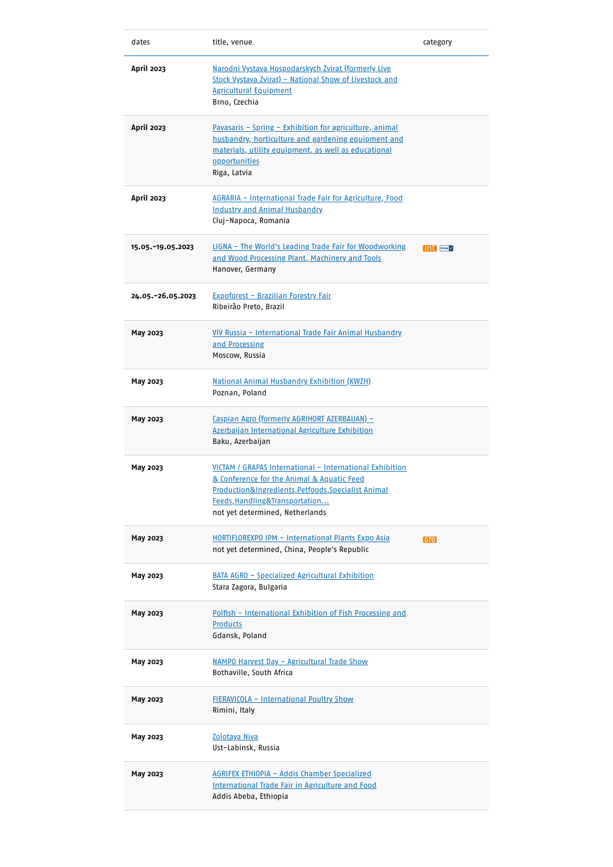| dates                | title, venue                                                                                                                                                                                                                       | category        |
|----------------------|------------------------------------------------------------------------------------------------------------------------------------------------------------------------------------------------------------------------------------|-----------------|
| April 2023           | Narodni Vystava Hospodarskych Zvirat (formerly Live<br>Stock Vystava Zvirat) - National Show of Livestock and<br><b>Agricultural Equipment</b><br>Brno, Czechia                                                                    |                 |
| <b>April 2023</b>    | Pavasaris - Spring - Exhibition for agriculture, animal<br>husbandry, horticulture and gardening equipment and<br>materials, utility equipment, as well as educational<br>opportunities<br>Riga, Latvia                            |                 |
| <b>April 2023</b>    | AGRARIA - International Trade Fair for Agriculture, Food<br><b>Industry and Animal Husbandry</b><br>Cluj-Napoca, Romania                                                                                                           |                 |
| 15.05. - 19.05. 2023 | LIGNA - The World's Leading Trade Fair for Woodworking<br>and Wood Processing Plant, Machinery and Tools<br>Hanover, Germany                                                                                                       | <b>int</b> FXMV |
| 24.05.-26.05.2023    | Expoforest - Brazilian Forestry Fair<br>Ribeirão Preto, Brazil                                                                                                                                                                     |                 |
| May 2023             | VIV Russia - International Trade Fair Animal Husbandry<br>and Processing<br>Moscow, Russia                                                                                                                                         |                 |
| May 2023             | <b>National Animal Husbandry Exhibition (KWZH)</b><br>Poznan, Poland                                                                                                                                                               |                 |
| May 2023             | Caspian Agro (formerly AGRIHORT AZERBAIJAN) -<br>Azerbaijan International Agriculture Exhibition<br>Baku, Azerbaijan                                                                                                               |                 |
| May 2023             | VICTAM / GRAPAS International - International Exhibition<br>& Conference for the Animal & Aquatic Feed<br>Production&Ingredients, Petfoods, Specialist Animal<br>Feeds, Handling&Transportation<br>not yet determined, Netherlands |                 |
| May 2023             | HORTIFLOREXPO IPM - International Plants Expo Asia<br>not yet determined, China, People's Republic                                                                                                                                 | GTO             |
| May 2023             | <b>BATA AGRO - Specialized Agricultural Exhibition</b><br>Stara Zagora, Bulgaria                                                                                                                                                   |                 |
| May 2023             | Polfish - International Exhibition of Fish Processing and<br><b>Products</b><br>Gdansk, Poland                                                                                                                                     |                 |
| May 2023             | <u> NAMPO Harvest Day - Agricultural Trade Show</u><br>Bothaville, South Africa                                                                                                                                                    |                 |
| May 2023             | <b>FIERAVICOLA - International Poultry Show</b><br>Rimini, Italy                                                                                                                                                                   |                 |
| May 2023             | <u>Zolotaya Niva</u><br>Ust-Labinsk, Russia                                                                                                                                                                                        |                 |
| May 2023             | AGRIFEX ETHIOPIA - Addis Chamber Specialized<br>International Trade Fair in Agriculture and Food<br>Addis Abeba, Ethiopia                                                                                                          |                 |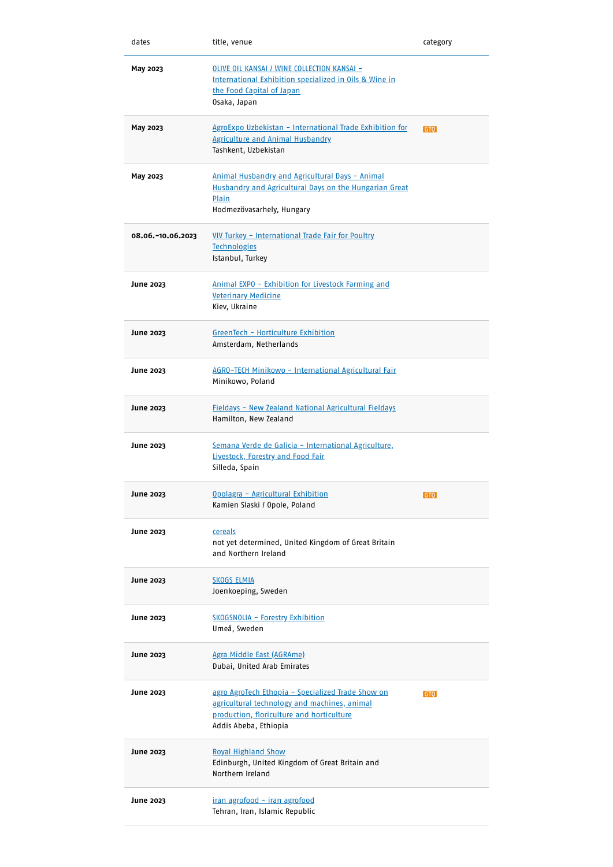| dates             | title, venue                                                                                                                                                            | category |
|-------------------|-------------------------------------------------------------------------------------------------------------------------------------------------------------------------|----------|
| May 2023          | OLIVE OIL KANSAL / WINE COLLECTION KANSAL -<br>International Exhibition specialized in Oils & Wine in<br>the Food Capital of Japan<br>Osaka, Japan                      |          |
| May 2023          | AgroExpo Uzbekistan - International Trade Exhibition for<br><b>Agriculture and Animal Husbandry</b><br>Tashkent, Uzbekistan                                             | GTO      |
| May 2023          | Animal Husbandry and Agricultural Days - Animal<br>Husbandry and Agricultural Days on the Hungarian Great<br><b>Plain</b><br>Hodmezövasarhely, Hungary                  |          |
| 08.06.-10.06.2023 | VIV Turkey - International Trade Fair for Poultry<br><b>Technologies</b><br>Istanbul, Turkey                                                                            |          |
| <b>June 2023</b>  | Animal EXPO - Exhibition for Livestock Farming and<br><b>Veterinary Medicine</b><br>Kiev, Ukraine                                                                       |          |
| <b>June 2023</b>  | <u> GreenTech - Horticulture Exhibition</u><br>Amsterdam, Netherlands                                                                                                   |          |
| <b>June 2023</b>  | AGRO-TECH Minikowo - International Agricultural Fair<br>Minikowo, Poland                                                                                                |          |
| June 2023         | Fieldays - New Zealand National Agricultural Fieldays<br>Hamilton, New Zealand                                                                                          |          |
| June 2023         | Semana Verde de Galicia - International Agriculture,<br>Livestock, Forestry and Food Fair<br>Silleda, Spain                                                             |          |
| <b>June 2023</b>  | Opolagra - Agricultural Exhibition<br>Kamien Slaski / Opole, Poland                                                                                                     | GTQ      |
| June 2023         | cereals<br>not yet determined, United Kingdom of Great Britain<br>and Northern Ireland                                                                                  |          |
| <b>June 2023</b>  | <b>SKOGS ELMIA</b><br>Joenkoeping, Sweden                                                                                                                               |          |
| <b>June 2023</b>  | SKOGSNOLIA - Forestry Exhibition<br>Umeå, Sweden                                                                                                                        |          |
| <b>June 2023</b>  | Agra Middle East (AGRAme)<br>Dubai, United Arab Emirates                                                                                                                |          |
| <b>June 2023</b>  | agro AgroTech Ethopia - Specialized Trade Show on<br>agricultural technology and machines, animal<br>production, floriculture and horticulture<br>Addis Abeba, Ethiopia | GTO      |
| June 2023         | <b>Royal Highland Show</b><br>Edinburgh, United Kingdom of Great Britain and<br>Northern Ireland                                                                        |          |
| June 2023         | iran agrofood - iran agrofood<br>Tehran, Iran, Islamic Republic                                                                                                         |          |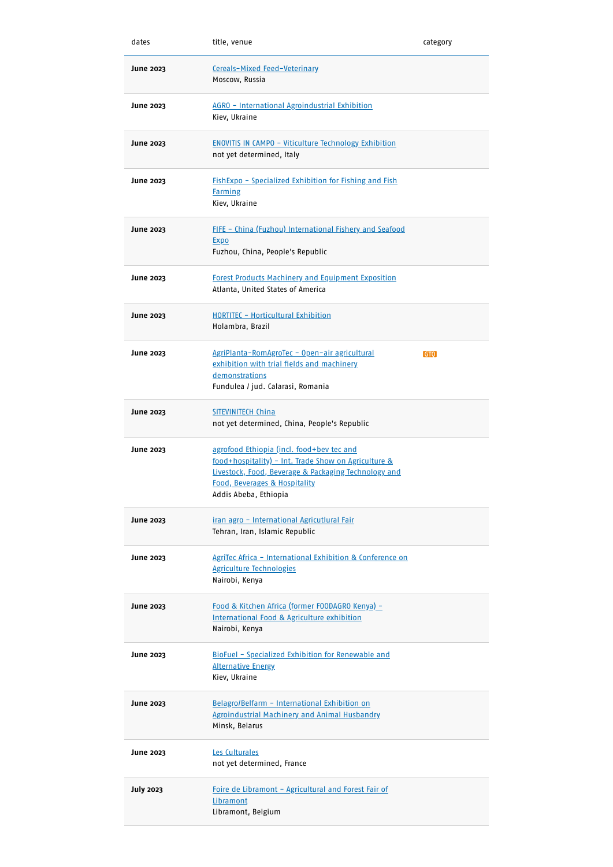| dates            | title, venue                                                                                                                                                                                                        | category        |
|------------------|---------------------------------------------------------------------------------------------------------------------------------------------------------------------------------------------------------------------|-----------------|
| June 2023        | <u>Cereals-Mixed Feed-Veterinary</u><br>Moscow, Russia                                                                                                                                                              |                 |
| June 2023        | AGRO - International Agroindustrial Exhibition<br>Kiev, Ukraine                                                                                                                                                     |                 |
| June 2023        | <b>ENOVITIS IN CAMPO - Viticulture Technology Exhibition</b><br>not yet determined, Italy                                                                                                                           |                 |
| June 2023        | FishExpo - Specialized Exhibition for Fishing and Fish<br><b>Farming</b><br>Kiev, Ukraine                                                                                                                           |                 |
| June 2023        | FIFE - China (Fuzhou) International Fishery and Seafood<br><b>Expo</b><br>Fuzhou, China, People's Republic                                                                                                          |                 |
| June 2023        | <b>Forest Products Machinery and Equipment Exposition</b><br>Atlanta, United States of America                                                                                                                      |                 |
| June 2023        | <b>HORTITEC - Horticultural Exhibition</b><br>Holambra, Brazil                                                                                                                                                      |                 |
| June 2023        | <u> AgriPlanta-RomAgroTec - Open-air agricultural</u><br>exhibition with trial fields and machinery<br>demonstrations<br>Fundulea / jud. Calarasi, Romania                                                          | GT <sub>0</sub> |
| <b>June 2023</b> | <b>SITEVINITECH China</b><br>not yet determined, China, People's Republic                                                                                                                                           |                 |
| June 2023        | agrofood Ethiopia (incl. food+bey tec and<br>food+hospitality) - Int. Trade Show on Agriculture &<br>Livestock, Food, Beverage & Packaging Technology and<br>Food, Beverages & Hospitality<br>Addis Abeba, Ethiopia |                 |
| June 2023        | iran agro - International Agricutlural Fair<br>Tehran, Iran, Islamic Republic                                                                                                                                       |                 |
| June 2023        | AgriTec Africa - International Exhibition & Conference on<br><b>Agriculture Technologies</b><br>Nairobi, Kenya                                                                                                      |                 |
| June 2023        | Food & Kitchen Africa (former FOODAGRO Kenya) -<br>International Food & Agriculture exhibition<br>Nairobi, Kenya                                                                                                    |                 |
| June 2023        | BioFuel - Specialized Exhibition for Renewable and<br><b>Alternative Energy</b><br>Kiev, Ukraine                                                                                                                    |                 |
| June 2023        | Belagro/Belfarm - International Exhibition on<br><b>Agroindustrial Machinery and Animal Husbandry</b><br>Minsk, Belarus                                                                                             |                 |
| June 2023        | Les Culturales<br>not yet determined, France                                                                                                                                                                        |                 |
| <b>July 2023</b> | Foire de Libramont - Agricultural and Forest Fair of<br>Libramont<br>Libramont, Belgium                                                                                                                             |                 |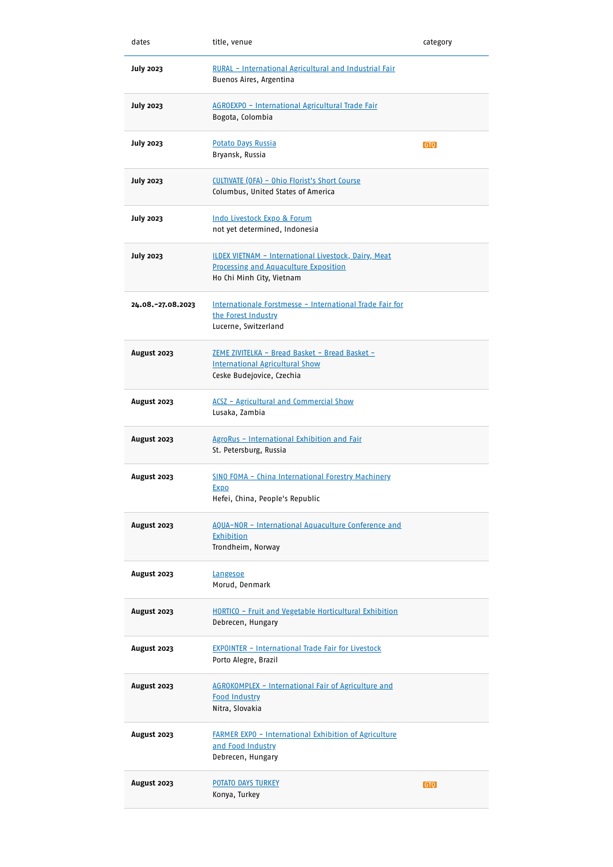| dates             | title, venue                                                                                                                      | category |
|-------------------|-----------------------------------------------------------------------------------------------------------------------------------|----------|
| <b>July 2023</b>  | RURAL - International Agricultural and Industrial Fair<br>Buenos Aires, Argentina                                                 |          |
| <b>July 2023</b>  | AGROEXPO - International Agricultural Trade Fair<br>Bogota, Colombia                                                              |          |
| <b>July 2023</b>  | <b>Potato Days Russia</b><br>Bryansk, Russia                                                                                      | GTO      |
| <b>July 2023</b>  | CULTIVATE (OFA) - Ohio Florist's Short Course<br>Columbus, United States of America                                               |          |
| <b>July 2023</b>  | <u>Indo Livestock Expo &amp; Forum</u><br>not yet determined, Indonesia                                                           |          |
| <b>July 2023</b>  | ILDEX VIETNAM - International Livestock, Dairy, Meat<br><b>Processing and Aquaculture Exposition</b><br>Ho Chi Minh City, Vietnam |          |
| 24.08.-27.08.2023 | Internationale Forstmesse - International Trade Fair for<br>the Forest Industry<br>Lucerne, Switzerland                           |          |
| August 2023       | ZEME ZIVITELKA - Bread Basket - Bread Basket -<br><b>International Agricultural Show</b><br>Ceske Budejovice, Czechia             |          |
| August 2023       | <b>ACSZ</b> - Agricultural and Commercial Show<br>Lusaka, Zambia                                                                  |          |
| August 2023       | AgroRus - International Exhibition and Fair<br>St. Petersburg, Russia                                                             |          |
| August 2023       | SINO FOMA - China International Forestry Machinery<br><b>Expo</b><br>Hefei, China, People's Republic                              |          |
| August 2023       | AQUA-NOR - International Aquaculture Conference and<br>Exhibition<br>Trondheim, Norway                                            |          |
| August 2023       | Langesoe<br>Morud, Denmark                                                                                                        |          |
| August 2023       | HORTICO - Fruit and Vegetable Horticultural Exhibition<br>Debrecen, Hungary                                                       |          |
| August 2023       | <b>EXPOINTER - International Trade Fair for Livestock</b><br>Porto Alegre, Brazil                                                 |          |
| August 2023       | AGROKOMPLEX - International Fair of Agriculture and<br><b>Food Industry</b><br>Nitra, Slovakia                                    |          |
| August 2023       | <b>FARMER EXPO - International Exhibition of Agriculture</b><br>and Food Industry<br>Debrecen, Hungary                            |          |
| August 2023       | <b>POTATO DAYS TURKEY</b><br>Konya, Turkey                                                                                        | GTO      |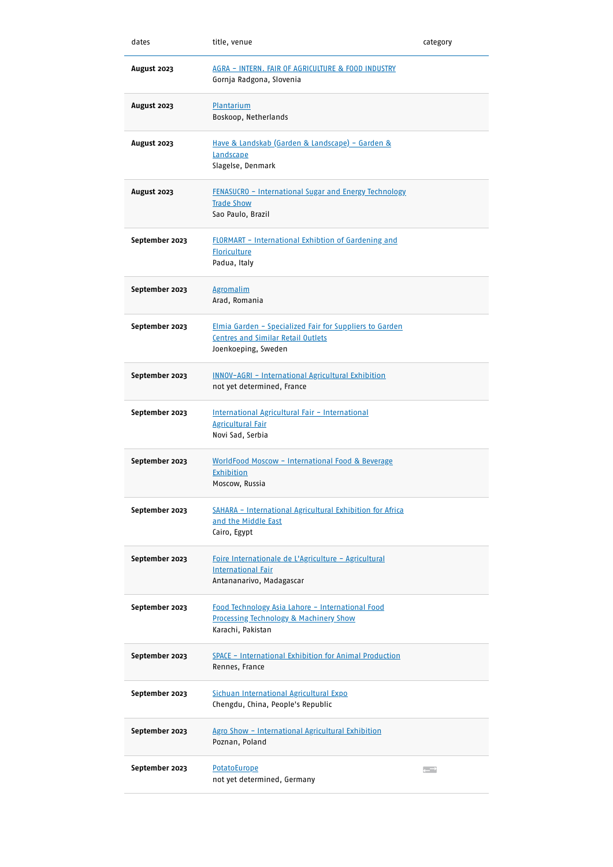| dates          | title, venue                                                                                                                | category |
|----------------|-----------------------------------------------------------------------------------------------------------------------------|----------|
| August 2023    | <u> AGRA – INTERN. FAIR OF AGRICULTURE &amp; FOOD INDUSTRY</u><br>Gornja Radgona, Slovenia                                  |          |
| August 2023    | Plantarium<br>Boskoop, Netherlands                                                                                          |          |
| August 2023    | Have & Landskab (Garden & Landscape) - Garden &<br>Landscape<br>Slagelse, Denmark                                           |          |
| August 2023    | FENASUCRO - International Sugar and Energy Technology<br><b>Trade Show</b><br>Sao Paulo, Brazil                             |          |
| September 2023 | <b>FLORMART - International Exhibtion of Gardening and</b><br>Floriculture<br>Padua, Italy                                  |          |
| September 2023 | <b>Agromalim</b><br>Arad, Romania                                                                                           |          |
| September 2023 | Elmia Garden - Specialized Fair for Suppliers to Garden<br><b>Centres and Similar Retail Outlets</b><br>Joenkoeping, Sweden |          |
| September 2023 | INNOV-AGRI - International Agricultural Exhibition<br>not yet determined, France                                            |          |
| September 2023 | <u> International Agricultural Fair - International</u><br><b>Agricultural Fair</b><br>Novi Sad, Serbia                     |          |
| September 2023 | WorldFood Moscow - International Food & Beverage<br>Exhibition<br>Moscow, Russia                                            |          |
| September 2023 | SAHARA - International Agricultural Exhibition for Africa<br>and the Middle East<br>Cairo, Egypt                            |          |
| September 2023 | Foire Internationale de L'Agriculture - Agricultural<br><b>International Fair</b><br>Antananarivo, Madagascar               |          |
| September 2023 | Food Technology Asia Lahore - International Food<br><b>Processing Technology &amp; Machinery Show</b><br>Karachi, Pakistan  |          |
| September 2023 | <b>SPACE - International Exhibition for Animal Production</b><br>Rennes, France                                             |          |
| September 2023 | <b>Sichuan International Agricultural Expo</b><br>Chengdu, China, People's Republic                                         |          |
| September 2023 | Agro Show - International Agricultural Exhibition<br>Poznan, Poland                                                         |          |
| September 2023 | <b>PotatoEurope</b><br>not yet determined, Germany                                                                          | ↩        |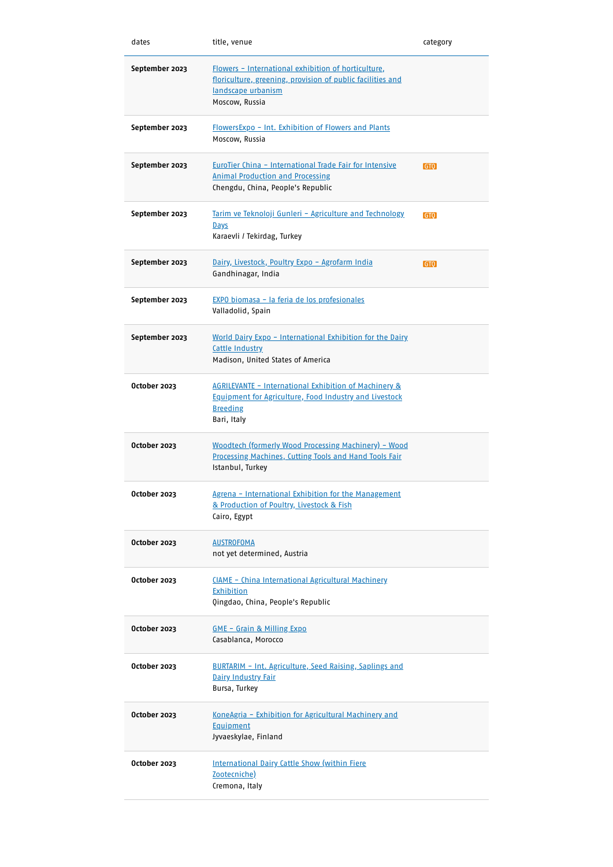| dates          | title, venue                                                                                                                                              | category |
|----------------|-----------------------------------------------------------------------------------------------------------------------------------------------------------|----------|
| September 2023 | Flowers - International exhibition of horticulture,<br>floriculture, greening, provision of public facilities and<br>landscape urbanism<br>Moscow, Russia |          |
| September 2023 | FlowersExpo - Int. Exhibition of Flowers and Plants<br>Moscow, Russia                                                                                     |          |
| September 2023 | EuroTier China - International Trade Fair for Intensive<br><b>Animal Production and Processing</b><br>Chengdu, China, People's Republic                   | GTO      |
| September 2023 | Tarim ve Teknoloji Gunleri - Agriculture and Technology<br><b>Days</b><br>Karaevli / Tekirdag, Turkey                                                     | GTO      |
| September 2023 | Dairy, Livestock, Poultry Expo - Agrofarm India<br>Gandhinagar, India                                                                                     | GTO      |
| September 2023 | EXPO biomasa - la feria de los profesionales<br>Valladolid, Spain                                                                                         |          |
| September 2023 | World Dairy Expo - International Exhibition for the Dairy<br><b>Cattle Industry</b><br>Madison, United States of America                                  |          |
| October 2023   | AGRILEVANTE - International Exhibition of Machinery &<br><b>Equipment for Agriculture, Food Industry and Livestock</b><br><b>Breeding</b><br>Bari, Italy  |          |
| October 2023   | Woodtech (formerly Wood Processing Machinery) - Wood<br><b>Processing Machines, Cutting Tools and Hand Tools Fair</b><br>Istanbul, Turkey                 |          |
| October 2023   | Agrena - International Exhibition for the Management<br>& Production of Poultry, Livestock & Fish<br>Cairo, Egypt                                         |          |
| October 2023   | <b>AUSTROFOMA</b><br>not yet determined, Austria                                                                                                          |          |
| October 2023   | CIAME - China International Agricultural Machinery<br>Exhibition<br>Qingdao, China, People's Republic                                                     |          |
| October 2023   | GME - Grain & Milling Expo<br>Casablanca, Morocco                                                                                                         |          |
| October 2023   | BURTARIM - Int. Agriculture, Seed Raising, Saplings and<br>Dairy Industry Fair<br>Bursa, Turkey                                                           |          |
| October 2023   | KoneAgria - Exhibition for Agricultural Machinery and<br><b>Equipment</b><br>Jyvaeskylae, Finland                                                         |          |
| October 2023   | <b>International Dairy Cattle Show (within Fiere</b><br>Zootecniche)<br>Cremona, Italy                                                                    |          |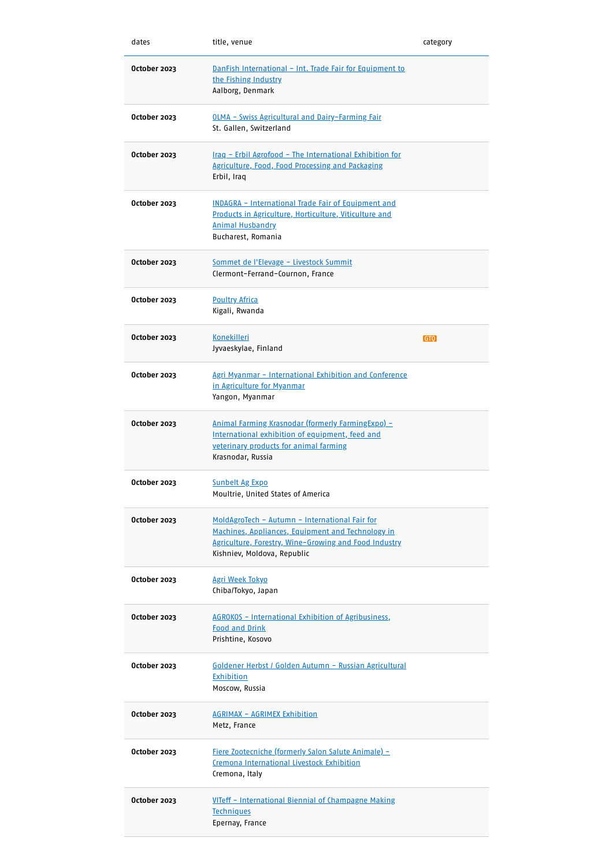| dates               | title, venue                                                                                                                                                                                | category |
|---------------------|---------------------------------------------------------------------------------------------------------------------------------------------------------------------------------------------|----------|
| <b>October 2023</b> | DanFish International - Int. Trade Fair for Equipment to<br>the Fishing Industry<br>Aalborg, Denmark                                                                                        |          |
| October 2023        | <b>OLMA - Swiss Agricultural and Dairy-Farming Fair</b><br>St. Gallen, Switzerland                                                                                                          |          |
| October 2023        | Iraq - Erbil Agrofood - The International Exhibition for<br>Agriculture, Food, Food Processing and Packaging<br>Erbil, Iraq                                                                 |          |
| October 2023        | <b>INDAGRA - International Trade Fair of Equipment and</b><br>Products in Agriculture, Horticulture, Viticulture and<br><b>Animal Husbandry</b><br>Bucharest, Romania                       |          |
| October 2023        | Sommet de l'Elevage - Livestock Summit<br>Clermont-Ferrand-Cournon, France                                                                                                                  |          |
| October 2023        | <b>Poultry Africa</b><br>Kigali, Rwanda                                                                                                                                                     |          |
| October 2023        | <b>Konekilleri</b><br>Jyvaeskylae, Finland                                                                                                                                                  | GTO      |
| October 2023        | Agri Myanmar - International Exhibition and Conference<br>in Agriculture for Myanmar<br>Yangon, Myanmar                                                                                     |          |
| October 2023        | Animal Farming Krasnodar (formerly Farming Expo) -<br>International exhibition of equipment, feed and<br>veterinary products for animal farming<br>Krasnodar, Russia                        |          |
| <b>October 2023</b> | <b>Sunbelt Ag Expo</b><br>Moultrie, United States of America                                                                                                                                |          |
| October 2023        | MoldAgroTech - Autumn - International Fair for<br>Machines, Appliances, Equipment and Technology in<br>Agriculture, Forestry, Wine-Growing and Food Industry<br>Kishniev, Moldova, Republic |          |
| October 2023        | Agri Week Tokyo<br>Chiba/Tokyo, Japan                                                                                                                                                       |          |
| October 2023        | <u> AGROKOS - International Exhibition of Agribusiness,</u><br><b>Food and Drink</b><br>Prishtine, Kosovo                                                                                   |          |
| October 2023        | <u> Goldener Herbst / Golden Autumn - Russian Agricultural</u><br>Exhibition<br>Moscow, Russia                                                                                              |          |
| October 2023        | <b>AGRIMAX - AGRIMEX Exhibition</b><br>Metz, France                                                                                                                                         |          |
| October 2023        | Fiere Zootecniche (formerly Salon Salute Animale) -<br>Cremona International Livestock Exhibition<br>Cremona, Italy                                                                         |          |
| October 2023        | VITeff - International Biennial of Champagne Making<br><b>Techniques</b><br>Epernay, France                                                                                                 |          |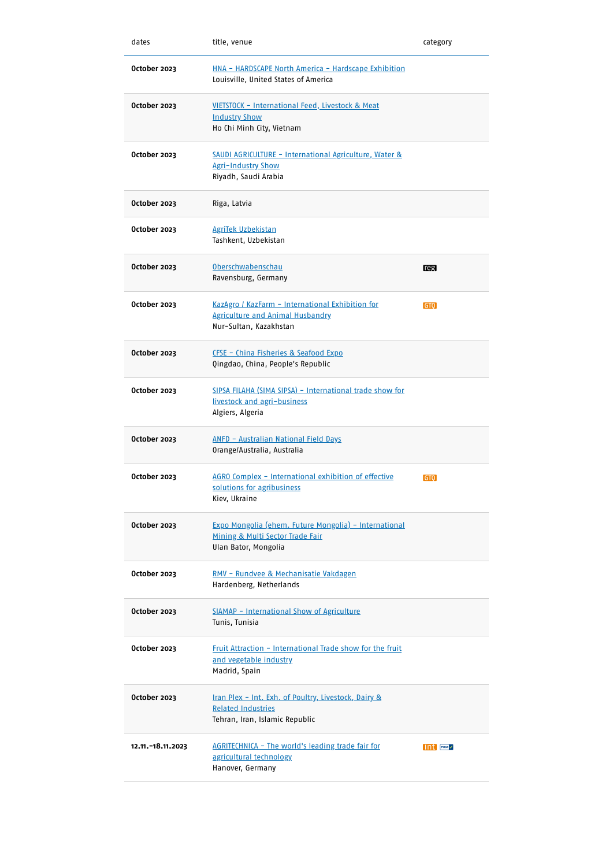| dates             | title, venue                                                                                                          | category |
|-------------------|-----------------------------------------------------------------------------------------------------------------------|----------|
| October 2023      | HNA - HARDSCAPE North America - Hardscape Exhibition<br>Louisville, United States of America                          |          |
| October 2023      | VIETSTOCK - International Feed, Livestock & Meat<br><b>Industry Show</b><br>Ho Chi Minh City, Vietnam                 |          |
| October 2023      | SAUDI AGRICULTURE - International Agriculture, Water &<br><b>Agri-Industry Show</b><br>Riyadh, Saudi Arabia           |          |
| October 2023      | Riga, Latvia                                                                                                          |          |
| October 2023      | <b>AgriTek Uzbekistan</b><br>Tashkent, Uzbekistan                                                                     |          |
| October 2023      | Oberschwabenschau<br>Ravensburg, Germany                                                                              | reg      |
| October 2023      | KazAgro / KazFarm - International Exhibition for<br><b>Agriculture and Animal Husbandry</b><br>Nur-Sultan, Kazakhstan | GTO      |
| October 2023      | CFSE - China Fisheries & Seafood Expo<br>Qingdao, China, People's Republic                                            |          |
| October 2023      | SIPSA FILAHA (SIMA SIPSA) - International trade show for<br>livestock and agri-business<br>Algiers, Algeria           |          |
| October 2023      | ANFD - Australian National Field Days<br>Orange/Australia, Australia                                                  |          |
| October 2023      | AGRO Complex - International exhibition of effective<br>solutions for agribusiness<br>Kiev, Ukraine                   | GTO      |
| October 2023      | Expo Mongolia (ehem. Future Mongolia) - International<br>Mining & Multi Sector Trade Fair<br>Ulan Bator, Mongolia     |          |
| October 2023      | RMV - Rundvee & Mechanisatie Vakdagen<br>Hardenberg, Netherlands                                                      |          |
| October 2023      | SIAMAP - International Show of Agriculture<br>Tunis, Tunisia                                                          |          |
| October 2023      | Fruit Attraction - International Trade show for the fruit<br>and vegetable industry<br>Madrid, Spain                  |          |
| October 2023      | Iran Plex - Int. Exh. of Poultry, Livestock, Dairy &<br><b>Related Industries</b><br>Tehran, Iran, Islamic Republic   |          |
| 12.11.-18.11.2023 | AGRITECHNICA - The world's leading trade fair for<br>agricultural technology<br>Hanover, Germany                      | int Exw  |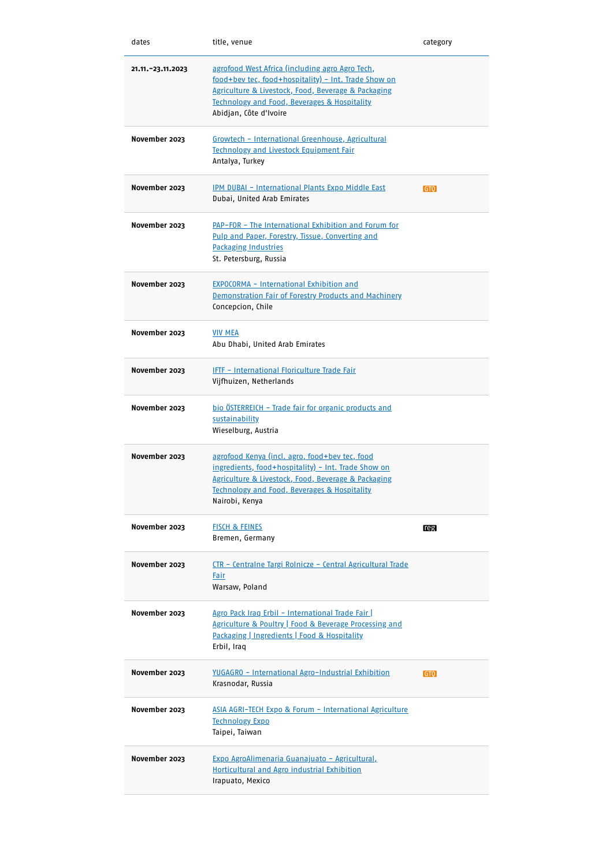| dates                | title, venue                                                                                                                                                                                                                             | category |
|----------------------|------------------------------------------------------------------------------------------------------------------------------------------------------------------------------------------------------------------------------------------|----------|
| 21,11, -23, 11, 2023 | agrofood West Africa (including agro Agro Tech,<br>food+bey tec, food+hospitality) - Int. Trade Show on<br>Agriculture & Livestock, Food, Beverage & Packaging<br>Technology and Food, Beverages & Hospitality<br>Abidjan, Côte d'Ivoire |          |
| November 2023        | Growtech - International Greenhouse, Agricultural<br>Technology and Livestock Equipment Fair<br>Antalya, Turkey                                                                                                                          |          |
| November 2023        | <b>IPM DUBAI - International Plants Expo Middle East</b><br>Dubai, United Arab Emirates                                                                                                                                                  | GTQ      |
| November 2023        | <b>PAP-FOR - The International Exhibition and Forum for</b><br>Pulp and Paper, Forestry, Tissue, Converting and<br>Packaging Industries<br>St. Petersburg, Russia                                                                        |          |
| November 2023        | <b>EXPOCORMA - International Exhibition and</b><br><u><b>Demonstration Fair of Forestry Products and Machinery</b></u><br>Concepcion, Chile                                                                                              |          |
| November 2023        | <b>VIV MEA</b><br>Abu Dhabi, United Arab Emirates                                                                                                                                                                                        |          |
| November 2023        | <b>IFTF - International Floriculture Trade Fair</b><br>Vijfhuizen, Netherlands                                                                                                                                                           |          |
| November 2023        | bio ÖSTERREICH - Trade fair for organic products and<br>sustainability<br>Wieselburg, Austria                                                                                                                                            |          |
| November 2023        | agrofood Kenya (incl. agro, food+bev tec, food<br>ingredients, food+hospitality) - Int. Trade Show on<br>Agriculture & Livestock, Food, Beverage & Packaging<br>Technology and Food, Beverages & Hospitality<br>Nairobi, Kenya           |          |
| November 2023        | <b>FISCH &amp; FEINES</b><br>Bremen, Germany                                                                                                                                                                                             | reg      |
| November 2023        | <u>CTR - Centralne Targi Rolnicze - Central Agricultural Trade</u><br><b>Fair</b><br>Warsaw, Poland                                                                                                                                      |          |
| November 2023        | Agro Pack Iraq Erbil - International Trade Fair<br>Agriculture & Poultry   Food & Beverage Processing and<br>Packaging   Ingredients   Food & Hospitality<br>Erbil, Iraq                                                                 |          |
| November 2023        | YUGAGRO - International Agro-Industrial Exhibition<br>Krasnodar, Russia                                                                                                                                                                  | GTO      |
| November 2023        | <b>ASIA AGRI-TECH Expo &amp; Forum - International Agriculture</b><br><b>Technology Expo</b><br>Taipei, Taiwan                                                                                                                           |          |
| November 2023        | <u> Expo AgroAlimenaria Guanajuato - Agricultural,</u><br><b>Horticultural and Agro industrial Exhibition</b><br>Irapuato, Mexico                                                                                                        |          |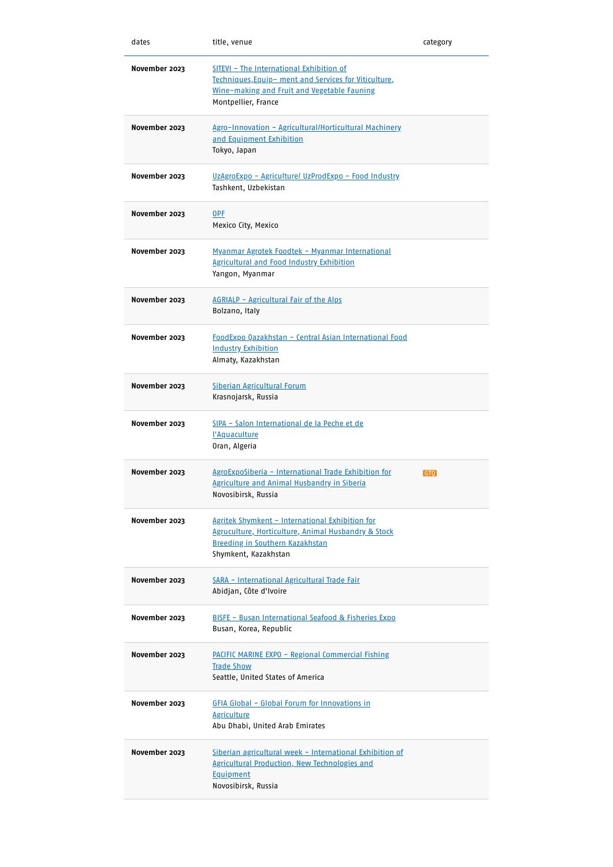| dates         | title, venue                                                                                                                                                            | category |
|---------------|-------------------------------------------------------------------------------------------------------------------------------------------------------------------------|----------|
| November 2023 | SITEVI - The International Exhibition of<br>Techniques, Equip- ment and Services for Viticulture,<br>Wine-making and Fruit and Vegetable Fauning<br>Montpellier, France |          |
| November 2023 | Agro-Innovation - Agricultural/Horticultural Machinery<br>and Equipment Exhibition<br>Tokyo, Japan                                                                      |          |
| November 2023 | UzAgroExpo - Agriculture/ UzProdExpo - Food Industry<br>Tashkent, Uzbekistan                                                                                            |          |
| November 2023 | <b>OPF</b><br>Mexico City, Mexico                                                                                                                                       |          |
| November 2023 | Myanmar Agrotek Foodtek - Myanmar International<br><b>Agricultural and Food Industry Exhibition</b><br>Yangon, Myanmar                                                  |          |
| November 2023 | AGRIALP - Agricultural Fair of the Alps<br>Bolzano, Italy                                                                                                               |          |
| November 2023 | FoodExpo Qazakhstan - Central Asian International Food<br><b>Industry Exhibition</b><br>Almaty, Kazakhstan                                                              |          |
| November 2023 | Siberian Agricultural Forum<br>Krasnojarsk, Russia                                                                                                                      |          |
| November 2023 | SIPA - Salon International de la Peche et de<br><b><i><u>I'Aquaculture</u></i></b><br>Oran, Algeria                                                                     |          |
| November 2023 | AgroExpoSiberia - International Trade Exhibition for<br><b>Agriculture and Animal Husbandry in Siberia</b><br>Novosibirsk, Russia                                       | GTO      |
| November 2023 | Agritek Shymkent - International Exhibition for<br>Agruculture, Horticulture, Animal Husbandry & Stock<br>Breeding in Southern Kazakhstan<br>Shymkent, Kazakhstan       |          |
| November 2023 | SARA - International Agricultural Trade Fair<br>Abidjan, Côte d'Ivoire                                                                                                  |          |
| November 2023 | BISFE - Busan International Seafood & Fisheries Expo<br>Busan, Korea, Republic                                                                                          |          |
| November 2023 | <b>PACIFIC MARINE EXPO - Regional Commercial Fishing</b><br><b>Trade Show</b><br>Seattle, United States of America                                                      |          |
| November 2023 | GFIA Global - Global Forum for Innovations in<br><b>Agriculture</b><br>Abu Dhabi, United Arab Emirates                                                                  |          |
| November 2023 | Siberian agricultural week - International Exhibition of<br>Agricultural Production, New Technologies and<br>Equipment<br>Novosibirsk, Russia                           |          |